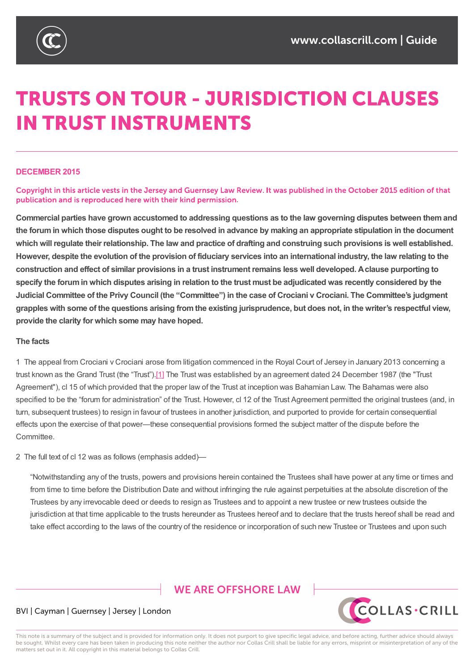

# **TRUSTS ON TOUR - JURISDICTION CLAUSES IN TRUST INSTRUMENTS**

#### **DECEMBER 2015**

Copyright in this article vests in the Jersey and Guernsey Law Review. It was published in the October 2015 edition of that publication and is reproduced here with their kind permission.

Commercial parties have grown accustomed to addressing guestions as to the law governing disputes between them and the forum in which those disputes ought to be resolved in advance by making an appropriate stipulation in the document which will regulate their relationship. The law and practice of drafting and construing such provisions is well established. However, despite the evolution of the provision of fiduciary services into an international industry, the law relating to the construction and effect of similar provisions in a trust instrument remains less well developed. A clause purporting to specify the forum in which disputes arising in relation to the trust must be adjudicated was recently considered by the Judicial Committee of the Privy Council (the "Committee") in the case of Crociani v Crociani. The Committee's judgment grapples with some of the questions arising from the existing jurisprudence, but does not, in the writer's respectful view, **provide the clarity for which some may have hoped.**

#### **The facts**

1 The appeal from Crociani v Crociani arose from litigation commenced in the Royal Court of Jersey in January 2013 concerning a trust known as the Grand Trust (the "Trust").[1] The Trust was established by an agreement dated 24 December 1987 (the "Trust Agreement"), cl 15 of which provided that the proper law of the Trust at inception was Bahamian Law. The Bahamas were also specified to be the "forum for administration" of the Trust. However, cl 12 of the Trust Agreement permitted the original trustees (and, in turn, subsequent trustees) to resign in favo[ur](https://www.collascrill.com/knowledge-documents/guides/dr-trusts-on-tour-jurisdiction-clauses-in-trust-instruments/?altTemplate=pdfDocument#_ftn1) of trustees in another jurisdiction, and purported to provide for certain consequential effects upon the exercise of that power—these consequential provisions formed the subject matter of the dispute before the Committee.

2 The full text of cl 12 was as follows (emphasis added)—

"Notwithstanding any of the trusts, powers and provisions herein contained the Trustees shall have power at any time or times and from time to time before the Distribution Date and without infringing the rule against perpetuities at the absolute discretion of the Trustees by any irrevocable deed or deeds to resign as Trustees and to appoint a new trustee or new trustees outside the jurisdiction at that time applicable to the trusts hereunder as Trustees hereof and to declare that the trusts hereof shall be read and take effect according to the laws of the country of the residence or incorporation of such new Trustee or Trustees and upon such

# **WE ARE OFFSHORE LAW**



#### BVI | Cayman | Guernsey | Jersey | London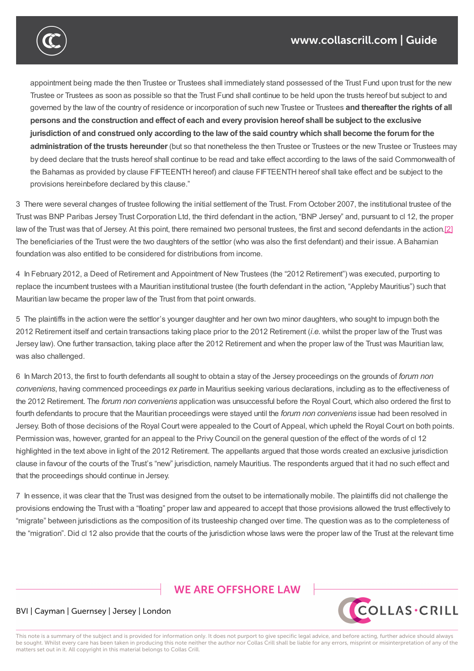

appointment being made the then Trustee or Trustees shall immediately stand possessed of the Trust Fund upon trust for the new Trustee or Trustees as soon as possible so that the Trust Fund shall continue to be held upon the trusts hereof but subject to and governed by the law of the country of residence or incorporation of such new Trustee or Trustees **and thereafter the rights of all** persons and the construction and effect of each and every provision hereof shall be subject to the exclusive jurisdiction of and construed only according to the law of the said country which shall become the forum for the **administration of the trusts hereunder** (but so that nonetheless the then Trustee or Trustees or the new Trustee or Trustees may by deed declare that the trusts hereof shall continue to be read and take effect according to the laws of the said Commonwealth of the Bahamas as provided by clause FIFTEENTH hereof) and clause FIFTEENTH hereof shall take effect and be subject to the provisions hereinbefore declared by this clause."

3 There were several changes of trustee following the initial settlement of the Trust. From October 2007, the institutional trustee of the Trust was BNP Paribas Jersey Trust Corporation Ltd, the third defendant in the action, "BNP Jersey" and, pursuant to cl 12, the proper law of the Trust was that of Jersey. At this point, there remained two personal trustees, the first and second defendants in the action.[2] The beneficiaries of the Trust were the two daughters of the settlor (who was also the first defendant) and their issue. A Bahamian foundation was also entitled to be considered for distributions from income.

4 In February 2012, a Deed of Retirement and Appointment of New Trustees (the "2012 Retirement") was executed, purporting to replace the incumbent trustees with a Mauritian institutional trustee (the fourth defendant in the action, "Appleby Mauritius") such that Mauritian law became the proper law of the Trust from that point onwards.

5 The plaintiffs in the action were the settlor's younger daughter and her own two minor daughters, who sought to impugn both the 2012 Retirement itself and certain transactions taking place prior to the 2012 Retirement (*i.e.* whilst the proper law of the Trust was Jersey law). One further transaction, taking place after the 2012 Retirement and when the proper law of the Trust was Mauritian law, was also challenged.

6 In March 2013, the first to fourth defendants all sought to obtain a stay of the Jersey proceedings on the grounds of *forum non conveniens*, having commenced proceedings *ex parte* in Mauritius seeking various declarations, including as to the effectiveness of the 2012 Retirement. The *forum non conveniens* application was unsuccessful before the Royal Court, which also ordered the first to fourth defendants to procure that the Mauritian proceedings were stayed until the *forum non conveniens* issue had been resolved in Jersey. Both of those decisions of the Royal Court were appealed to the Court of Appeal, which upheld the Royal Court on both points. Permission was, however, granted for an appeal to the Privy Council on the general question of the effect of the words of cl 12 highlighted in the text above in light of the 2012 Retirement. The appellants argued that those words created an exclusive jurisdiction clause in favour of the courts of the Trust's "new" jurisdiction, namely Mauritius. The respondents argued that it had no such effect and that the proceedings should continue in Jersey.

7 In essence, it was clear that the Trust was designed from the outset to be internationally mobile. The plaintiffs did not challenge the provisions endowing the Trust with a "floating" proper law and appeared to accept that those provisions allowed the trust effectively to "migrate" between jurisdictions as the composition of its trusteeship changed over time. The question was as to the completeness of the "migration". Did cl 12 also provide that the courts of the jurisdiction whose laws were the proper law of the Trust at the relevant time

# **WE ARE OFFSHORE LAW**



#### BVI | Cayman | Guernsey | Jersey | London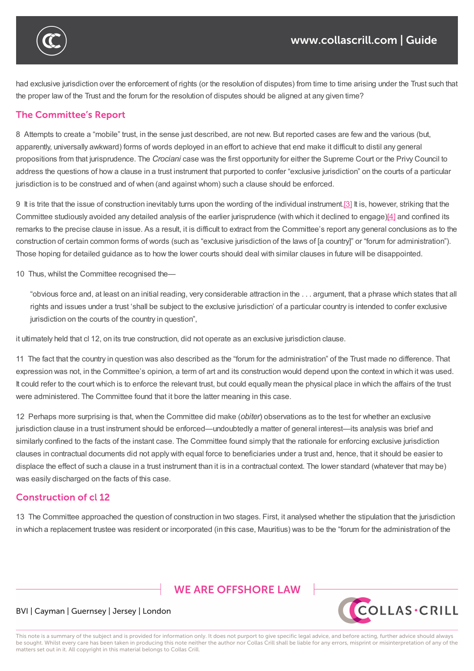

had exclusive jurisdiction over the enforcement of rights (or the resolution of disputes) from time to time arising under the Trust such that the proper law of the Trust and the forum for the resolution of disputes should be aligned at any given time?

the "migration". Did cl 12 also provide that the courts of the jurisdiction whose laws were the proper law of the Trust at the relevant time

### **The Committee's Report**

8 Attempts to create a "mobile" trust, in the sense just described, are not new. But reported cases are few and the various (but, apparently, universally awkward) forms of words deployed in an effort to achieve that end make it difficult to distil any general propositions from that jurisprudence. The *Crociani* case was the first opportunity for either the Supreme Court or the Privy Council to address the questions of how a clause in a trust instrument that purported to confer "exclusive jurisdiction" on the courts of a particular jurisdiction is to be construed and of when (and against whom) such a clause should be enforced.

9 It is trite that the issue of construction inevitably turns upon the wording of the individual instrument. [3] It is, however, striking that the Committee studiously avoided any detailed analysis of the earlier jurisprudence (with which it declined to engage)[4] and confined its remarks to the precise clause in issue. As a result, it is difficult to extract from the Committee's report any general conclusions as to the construction of certain common forms of words (such as "exclusive jurisdiction of the laws of [a count[ry\]"](https://www.collascrill.com/knowledge-documents/guides/dr-trusts-on-tour-jurisdiction-clauses-in-trust-instruments/?altTemplate=pdfDocument#_ftn3) or "forum for administration"). Those hoping for detailed guidance as to how the lower courts should deal with similar clauses in future will be di[sap](https://www.collascrill.com/knowledge-documents/guides/dr-trusts-on-tour-jurisdiction-clauses-in-trust-instruments/?altTemplate=pdfDocument#_ftn4)pointed.

10 Thus, whilst the Committee recognised the—

"obvious force and, at least on an initial reading, very considerable attraction in the . . . argument, that a phrase which states that all rights and issues under a trust 'shall be subject to the exclusive jurisdiction' of a particular country is intended to confer exclusive jurisdiction on the courts of the country in question",

it ultimately held that cl 12, on its true construction, did not operate as an exclusive jurisdiction clause.

11 The fact that the country in question was also described as the "forum for the administration" of the Trust made no difference. That expression was not, in the Committee's opinion, a term of art and its construction would depend upon the context in which it was used. It could refer to the court which is to enforce the relevant trust, but could equally mean the physical place in which the affairs of the trust were administered. The Committee found that it bore the latter meaning in this case.

12 Perhaps more surprising is that, when the Committee did make (*obiter*) observations as to the test for whether an exclusive jurisdiction clause in a trust instrument should be enforced—undoubtedly a matter of general interest—its analysis was brief and similarly confined to the facts of the instant case. The Committee found simply that the rationale for enforcing exclusive jurisdiction clauses in contractual documents did not apply with equal force to beneficiaries under a trust and, hence, that it should be easier to displace the effect of such a clause in a trust instrument than it is in a contractual context. The lower standard (whatever that may be) was easily discharged on the facts of this case.

#### **Construction of cl 12**

13 The Committee approached the question of construction in two stages. First, it analysed whether the stipulation that the jurisdiction in which a replacement trustee was resident or incorporated (in this case, Mauritius) was to be the "forum for the administration of the

# **WE ARE OFFSHORE LAW**



#### BVI | Cayman | Guernsey | Jersey | London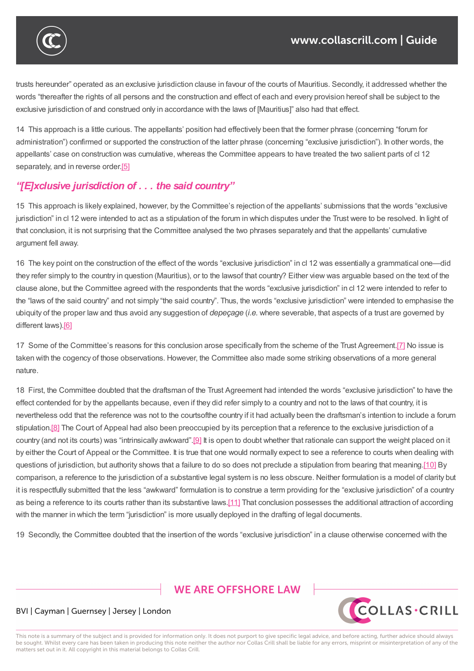

trusts hereunder" operated as an exclusive jurisdiction clause in favour of the courts of Mauritius. Secondly, it addressed whether the words "thereafter the rights of all persons and the construction and effect of each and every provision hereof shall be subject to the exclusive jurisdiction of and construed only in accordance with the laws of [Mauritius]" also had that effect.

14 This approach is a little curious. The appellants' position had effectively been that the former phrase (concerning "forum for administration") confirmed or supported the construction of the latter phrase (concerning "exclusive jurisdiction"). In other words, the appellants' case on construction was cumulative, whereas the Committee appears to have treated the two salient parts of cl 12 separately, and in reverse order.<sup>[5]</sup>

### *"[E]xclusive jurisdiction of . . . the said country"*

15 This approach is likely expla[ine](https://www.collascrill.com/knowledge-documents/guides/dr-trusts-on-tour-jurisdiction-clauses-in-trust-instruments/?altTemplate=pdfDocument#_ftn5)d, however, by the Committee's rejection of the appellants' submissions that the words "exclusive jurisdiction" in cl 12 were intended to act as a stipulation of the forum in which disputes under the Trust were to be resolved. In light of that conclusion, it is not surprising that the Committee analysed the two phrases separately and that the appellants' cumulative argument fell away.

16 The key point on the construction of the effect of the words "exclusive jurisdiction" in cl 12 was essentially a grammatical one—did they refer simply to the country in question (Mauritius), or to the lawsof that country? Either view was arguable based on the text of the clause alone, but the Committee agreed with the respondents that the words "exclusive jurisdiction" in cl 12 were intended to refer to the "laws of the said country" and not simply "the said country". Thus, the words "exclusive jurisdiction" were intended to emphasise the ubiquity of the proper law and thus avoid any suggestion of *depeçage* (*i.e.* where severable, that aspects of a trust are governed by different laws).<sup>[6]</sup>

17 Some of the Committee's reasons for this conclusion arose specifically from the scheme of the Trust Agreement.[7] No issue is taken with the [cog](https://www.collascrill.com/knowledge-documents/guides/dr-trusts-on-tour-jurisdiction-clauses-in-trust-instruments/?altTemplate=pdfDocument#_ftn6)ency of those observations. However, the Committee also made some striking observations of a more general nature.

18 First, the Committee doubted that the draftsman of the Trust Agreement had intended the words "exclusive jurisdi[ctio](https://www.collascrill.com/knowledge-documents/guides/dr-trusts-on-tour-jurisdiction-clauses-in-trust-instruments/?altTemplate=pdfDocument#_ftn7)n" to have the effect contended for by the appellants because, even if they did refer simply to a country and not to the laws of that country, it is nevertheless odd that the reference was not to the courtsofthe country if it had actually been the draftsman's intention to include a forum stipulation.<sup>[8]</sup> The Court of Appeal had also been preoccupied by its perception that a reference to the exclusive jurisdiction of a country (and not its courts) was "intrinsically awkward".[9] It is open to doubt whether that rationale can support the weight placed on it by either the Court of Appeal or the Committee. It is true that one would normally expect to see a reference to courts when dealing with questions [of](https://www.collascrill.com/knowledge-documents/guides/dr-trusts-on-tour-jurisdiction-clauses-in-trust-instruments/?altTemplate=pdfDocument#_ftn8) jurisdiction, but authority shows that a failure to do so does not preclude a stipulation from bearing that meaning.[10] By comparison, a reference to the jurisdiction of a substa[ntiv](https://www.collascrill.com/knowledge-documents/guides/dr-trusts-on-tour-jurisdiction-clauses-in-trust-instruments/?altTemplate=pdfDocument#_ftn9)e legal system is no less obscure. Neither formulation is a model of clarity but it is respectfully submitted that the less "awkward" formulation is to construe a term providing for the "exclusive jurisdiction" of a country as being a reference to its courts rather than its substantive laws.[11] That conclusion possesses the additional attraction of [acco](https://www.collascrill.com/knowledge-documents/guides/dr-trusts-on-tour-jurisdiction-clauses-in-trust-instruments/?altTemplate=pdfDocument#_ftn10)rding with the manner in which the term "jurisdiction" is more usually deployed in the drafting of legal documents.

19 Secondly, the Committee doubted that the insertion of the wo[rds](https://www.collascrill.com/knowledge-documents/guides/dr-trusts-on-tour-jurisdiction-clauses-in-trust-instruments/?altTemplate=pdfDocument#_ftn11) "exclusive jurisdiction" in a clause otherwise concerned with the

**WE ARE OFFSHORE LAW** 



#### BVI | Cayman | Guernsey | Jersey | London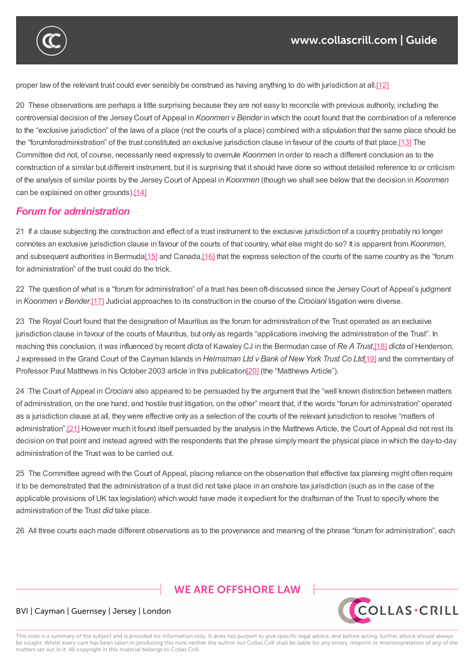

proper law of the relevant trust could ever sensibly be construed as having anything to do with jurisdiction at all.[12]

20 These observations are perhaps a little surprising because they are not easy to reconcile with previous authority, including the controversial decision of the Jersey Court of Appeal in *Koonmen v Bender* in which the court found that the co[mbin](https://www.collascrill.com/knowledge-documents/guides/dr-trusts-on-tour-jurisdiction-clauses-in-trust-instruments/?altTemplate=pdfDocument#_ftn12)ation of a reference to the "exclusive jurisdiction" of the laws of a place (not the courts of a place) combined with a stipulation that the same place should be the "forumforadministration" of the trust constituted an exclusive jurisdiction clause in favour of the courts of that place.[13] The Committee did not, of course, necessarily need expressly to overrule *Koonmen* in order to reach a different conclusion as to the construction of a similar but different instrument, but it is surprising that it should have done so without detailed reference to or criticism of the analysis of similar points by the Jersey Court of Appeal in *Koonmen* (though we shall see below that the decisi[on](https://www.collascrill.com/knowledge-documents/guides/dr-trusts-on-tour-jurisdiction-clauses-in-trust-instruments/?altTemplate=pdfDocument#_ftn13) in *Koonmen* can be explained on other grounds).[14]

 $\mathcal{L}_{\mathcal{A}}$  secondly, the insertion of the insertion of the insertion of the insertion of the with the with the with the with the with the with the with the with the with the with the with the with the with the with th

#### *Forum for administration*

21 If a clause subjecting the constr[uction](https://www.collascrill.com/knowledge-documents/guides/dr-trusts-on-tour-jurisdiction-clauses-in-trust-instruments/?altTemplate=pdfDocument#_ftn14) and effect of a trust instrument to the exclusive jurisdiction of a country probably no longer connotes an exclusive jurisdiction clause in favour of the courts of that country, what else might do so? It is apparent from *Koonmen*, and subsequent authorities in Bermuda<sup>[15]</sup> and Canada,<sup>[16]</sup> that the express selection of the courts of the same country as the "forum for administration" of the trust could do the trick.

22 The question of what is a "forum for administration" of a trust has been oft-discussed since the Jersey Court of Appeal's judgment in *Koonmen v Bender*.[17] Judicial ap[proac](https://www.collascrill.com/knowledge-documents/guides/dr-trusts-on-tour-jurisdiction-clauses-in-trust-instruments/?altTemplate=pdfDocument#_ftn15)hes to its co[nstru](https://www.collascrill.com/knowledge-documents/guides/dr-trusts-on-tour-jurisdiction-clauses-in-trust-instruments/?altTemplate=pdfDocument#_ftn16)ction in the course of the *Crociani* litigation were diverse.

23 The Royal Court found that the designation of Mauritius as the forum for administration of the Trust operated as an exclusive jurisdiction clause in fa[vour](https://www.collascrill.com/knowledge-documents/guides/dr-trusts-on-tour-jurisdiction-clauses-in-trust-instruments/?altTemplate=pdfDocument#_ftn17) of the courts of Mauritius, but only as regards "applications involving the administration of the Trust". In reaching this conclusion, it was influenced by recent *dicta* of Kawaley CJ in the Bermudan case of *Re ATrust*,[18] *dicta* of Henderson, J expressed in the Grand Court of the Cayman Islands in *Helmsman Ltd v Bank of NewYork Trust Co Ltd*[19] and the commentary of Professor Paul Matthews in his October 2003 article in this publication[20] (the "Matthews Article").

24 The Court of Appeal in *Crociani* also appeared to be persuaded by the argument that the "well known [disti](https://www.collascrill.com/knowledge-documents/guides/dr-trusts-on-tour-jurisdiction-clauses-in-trust-instruments/?altTemplate=pdfDocument#_ftn19)[nctio](https://www.collascrill.com/knowledge-documents/guides/dr-trusts-on-tour-jurisdiction-clauses-in-trust-instruments/?altTemplate=pdfDocument#_ftn18)n between matters of administration, on the one hand, and hostile trust litigation, on the other" meant that, if the words "forum for administration" operated as a jurisdiction clause at all, they were effective only as a selection of [the](https://www.collascrill.com/knowledge-documents/guides/dr-trusts-on-tour-jurisdiction-clauses-in-trust-instruments/?altTemplate=pdfDocument#_ftn20) courts of the relevant jurisdiction to resolve "matters of administration".[21] However much it found itself persuaded by the analysis in the Matthews Article, the Court of Appeal did not rest its decision on that point and instead agreed with the respondents that the phrase simply meant the physical place in which the day-to-day administration of the Trust was to be carried out.

25 The Commi[ttee](https://www.collascrill.com/knowledge-documents/guides/dr-trusts-on-tour-jurisdiction-clauses-in-trust-instruments/?altTemplate=pdfDocument#_ftn21) agreed with the Court of Appeal, placing reliance on the observation that effective tax planning might often require it to be demonstrated that the administration of a trust did not take place in an onshore tax jurisdiction (such as in the case of the applicable provisions of UK tax legislation) which would have made it expedient for the draftsman of the Trust to specify where the administration of the Trust *did* take place.

26 All three courts each made different observations as to the provenance and meaning of the phrase "forum for administration", each

# **WE ARE OFFSHORE LAW**



#### BVI | Cayman | Guernsey | Jersey | London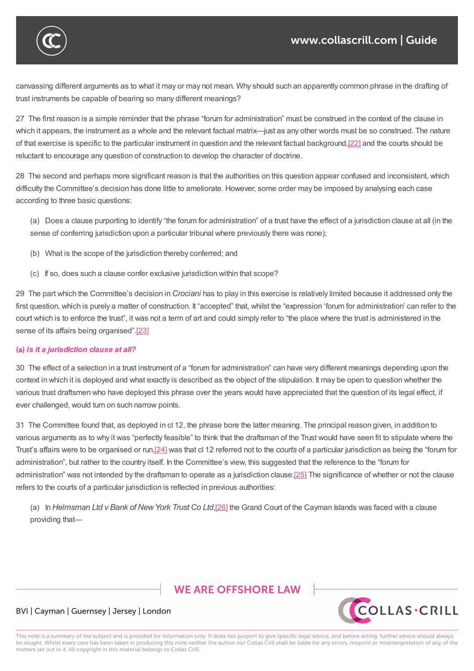

canvassing different arguments as to what it may or may not mean. Why should such an apparently common phrase in the drafting of trust instruments be capable of bearing so many different meanings?

 $\mathcal{L}_{\mathcal{A}}$  as to three courts each made different observations as to the phrase "forum for administration", each meaning of the phrase "forum for administration", each meaning  $\mathcal{A}$ 

27 The first reason is a simple reminder that the phrase "forum for administration" must be construed in the context of the clause in which it appears, the instrument as a whole and the relevant factual matrix—just as any other words must be so construed. The nature of that exercise is specific to the particular instrument in question and the relevant factual background,[22] and the courts should be reluctant to encourage any question of construction to develop the character of doctrine.

28 The second and perhaps more significant reason is that the authorities on this question appear c[onfus](https://www.collascrill.com/knowledge-documents/guides/dr-trusts-on-tour-jurisdiction-clauses-in-trust-instruments/?altTemplate=pdfDocument#_ftn22)ed and inconsistent, which difficulty the Committee's decision has done little to ameliorate. However, some order may be imposed by analysing each case according to three basic questions:

(a) Does a clause purporting to identify "the forum for administration" of a trust have the effect of a jurisdiction clause at all (in the sense of conferring jurisdiction upon a particular tribunal where previously there was none);

- (b) What is the scope of the jurisdiction thereby conferred; and
- (c) If so, does such a clause confer exclusive jurisdiction within that scope?

29 The part which the Committee's decision in *Crociani* has to play in this exercise is relatively limited because it addressed only the first question, which is purely a matter of construction. It "accepted" that, whilst the "expression 'forum for administration' can refer to the court which is to enforce the trust", it was not a term of art and could simply refer to "the place where the trust is administered in the sense of its affairs being organised".[23]

#### *Is it a jurisdiction clause at all?*

30 The effect of a selection in a trust [inst](https://www.collascrill.com/knowledge-documents/guides/dr-trusts-on-tour-jurisdiction-clauses-in-trust-instruments/?altTemplate=pdfDocument#_ftn23)rument of a "forum for administration" can have very different meanings depending upon the context in which it is deployed and what exactly is described as the object of the stipulation. It may be open to question whether the various trust draftsmen who have deployed this phrase over the years would have appreciated that the question of its legal effect, if ever challenged, would turn on such narrow points.

31 The Committee found that, as deployed in cl 12, the phrase bore the latter meaning. The principal reason given, in addition to various arguments as to why it was "perfectly feasible" to think that the draftsman of the Trust would have seen fit to stipulate where the Trust's affairs were to be organised or run,[24] was that cl 12 referred not to the *courts* of a particular jurisdiction as being the "forum for administration", but rather to the country itself. In the Committee's view, this suggested that the reference to the "forum for administration" was not intended by the draftsman to operate as a jurisdiction clause.[25] The significance of whether or not the clause refers to the courts of a particular jurisdicti[on](https://www.collascrill.com/knowledge-documents/guides/dr-trusts-on-tour-jurisdiction-clauses-in-trust-instruments/?altTemplate=pdfDocument#_ftn24) is reflected in previous authorities:

(a) In *Helmsman Ltd v Bank of NewYork Trust Co Ltd*,[26] the Grand Court of [the](https://www.collascrill.com/knowledge-documents/guides/dr-trusts-on-tour-jurisdiction-clauses-in-trust-instruments/?altTemplate=pdfDocument#_ftn25) Cayman Islands was faced with a clause providing that—

# **WE ARE OFFSHORE LAW**



#### BVI | Cayman | Guernsey | Jersey | London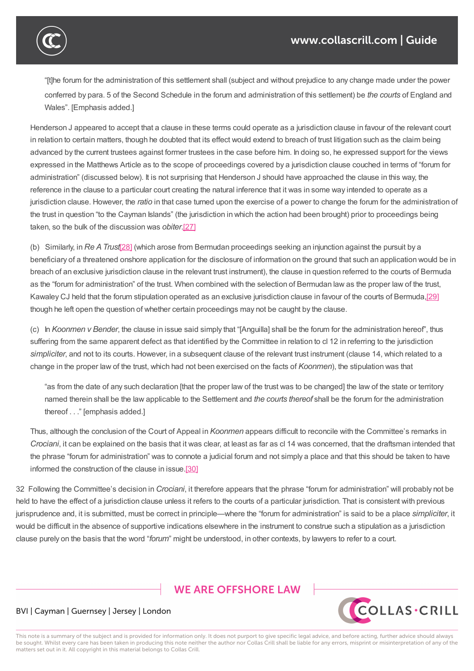

"[t]he forum for the administration of this settlement shall (subject and without prejudice to any change made under the power conferred by para. 5 of the Second Schedule in the forum and administration of this settlement) be *the courts* of England and Wales". [Emphasis added.]

Henderson J appeared to accept that a clause in these terms could operate as a jurisdiction clause in favour of the relevant court in relation to certain matters, though he doubted that its effect would extend to breach of trust litigation such as the claim being advanced by the current trustees against former trustees in the case before him. In doing so, he expressed support for the views expressed in the Matthews Article as to the scope of proceedings covered by a jurisdiction clause couched in terms of "forum for administration" (discussed below). It is not surprising that Henderson J should have approached the clause in this way, the reference in the clause to a particular court creating the natural inference that it was in some way intended to operate as a jurisdiction clause. However, the *ratio* in that case turned upon the exercise of a power to change the forum for the administration of the trust in question "to the Cayman Islands" (the jurisdiction in which the action had been brought) prior to proceedings being taken, so the bulk of the discussion was *obiter*.[27]

(b) Similarly, in *Re ATrust*[28] (which arose from Bermudan proceedings seeking an injunction against the pursuit by a beneficiary of a threatened onshore application for the disclosure of information on the ground that such an application would be in breach of an exclusive jurisdiction clause in the [rele](https://www.collascrill.com/knowledge-documents/guides/dr-trusts-on-tour-jurisdiction-clauses-in-trust-instruments/?altTemplate=pdfDocument#_ftn27)vant trust instrument), the clause in question referred to the courts of Bermuda as the "forum for administr[ation](https://www.collascrill.com/knowledge-documents/guides/dr-trusts-on-tour-jurisdiction-clauses-in-trust-instruments/?altTemplate=pdfDocument#_ftn28)" of the trust. When combined with the selection of Bermudan law as the proper law of the trust, Kawaley CJ held that the forum stipulation operated as an exclusive jurisdiction clause in favour of the courts of Bermuda,[29] though he left open the question of whether certain proceedings may not be caught by the clause.

(c) In *Koonmen v Bender*, the clause in issue said simply that "[Anguilla] shall be the forum for the administration hereof", thus suffering from the same apparent defect as that identified by the Committee in relation to cl 12 in referring to the jurisdicti[on](https://www.collascrill.com/knowledge-documents/guides/dr-trusts-on-tour-jurisdiction-clauses-in-trust-instruments/?altTemplate=pdfDocument#_ftn29) *simpliciter*, and not to its courts. However, in a subsequent clause of the relevant trust instrument (clause 14, which related to a change in the proper law of the trust, which had not been exercised on the facts of *Koonmen*), the stipulation was that

"as from the date of any such declaration [that the proper law of the trust was to be changed] the law of the state or territory named therein shall be the law applicable to the Settlement and *the courts thereof* shall be the forum for the administration thereof . . ." [emphasis added.]

Thus, although the conclusion of the Court of Appeal in *Koonmen* appears difficult to reconcile with the Committee's remarks in *Crociani*, it can be explained on the basis that it was clear, at least as far as cl 14 was concerned, that the draftsman intended that the phrase "forum for administration" was to connote a judicial forum and not simply a place and that this should be taken to have informed the construction of the clause in issue.[30]

32 Following the Committee's decision in *Crociani*, it therefore appears that the phrase "forum for administration" will probably not be held to have the effect of a jurisdiction clause unless it refers to the courts of a particular jurisdiction. That is consistent with previous jurisprudence and, it is submitted, must be correct in [prin](https://www.collascrill.com/knowledge-documents/guides/dr-trusts-on-tour-jurisdiction-clauses-in-trust-instruments/?altTemplate=pdfDocument#_ftn30)ciple—where the "forum for administration" is said to be a place *simpliciter*, it would be difficult in the absence of supportive indications elsewhere in the instrument to construe such a stipulation as a jurisdiction clause purely on the basis that the word "*forum*" might be understood, in other contexts, by lawyers to refer to a court.

# **WE ARE OFFSHORE LAW**



#### BVI | Cayman | Guernsey | Jersey | London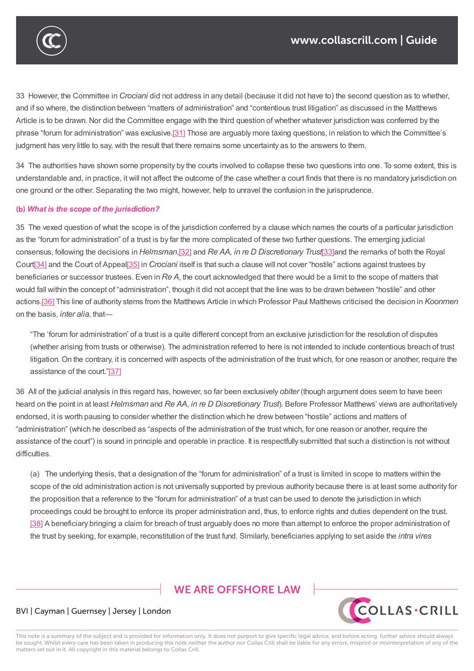33 However, the Committee in *Crociani* did not address in any detail (because it did not have to) the second question as to whether, and if so where, the distinction between "matters of administration" and "contentious trust litigation" as discussed in the Matthews Article is to be drawn. Nor did the Committee engage with the third question of whether whatever jurisdiction was conferred by the phrase "forum for administration" was exclusive.[31] Those are arguably more taxing questions, in relation to which the Committee's judgment has very little to say, with the result that there remains some uncertainty as to the answers to them.

34 The authorities have shown some propensity by the courts involved to collapse these two questions into one. To some extent, this is understandable and, in practice, it will not affect [the](https://www.collascrill.com/knowledge-documents/guides/dr-trusts-on-tour-jurisdiction-clauses-in-trust-instruments/?altTemplate=pdfDocument#_ftn31) outcome of the case whether a court finds that there is no mandatory jurisdiction on one ground or the other. Separating the two might, however, help to unravel the confusion in the jurisprudence.

#### *What is the scope of the jurisdiction?*

35 The vexed question of what the scope is of the jurisdiction conferred by a clause which names the courts of a particular jurisdiction as the "forum for administration" of a trust is by far the more complicated of these two further questions. The emerging judicial consensus, following the decisions in *Helmsman*,[32] and *Re AA, in re D Discretionary Trust*[33]and the remarks of both the Royal Court[34] and the Court of Appeal[35] in *Crociani* itself is that such a clause will not cover "hostile" actions against trustees by beneficiaries or successor trustees. Even in *Re A*, the court acknowledged that there would be a limit to the scope of matters that would fall within the concept of "administration", th[ough](https://www.collascrill.com/knowledge-documents/guides/dr-trusts-on-tour-jurisdiction-clauses-in-trust-instruments/?altTemplate=pdfDocument#_ftn32) it did not accept that the line was to be [dra](https://www.collascrill.com/knowledge-documents/guides/dr-trusts-on-tour-jurisdiction-clauses-in-trust-instruments/?altTemplate=pdfDocument#_ftn33)wn between "hostile" and other actio[ns.\[3](https://www.collascrill.com/knowledge-documents/guides/dr-trusts-on-tour-jurisdiction-clauses-in-trust-instruments/?altTemplate=pdfDocument#_ftn34)6] This line of authority [stems](https://www.collascrill.com/knowledge-documents/guides/dr-trusts-on-tour-jurisdiction-clauses-in-trust-instruments/?altTemplate=pdfDocument#_ftn35) from the Matthews Article in which Professor Paul Matthews criticised the decision in *Koonmen* on the basis, *inter alia*, that—

"The 'forum for administration' of a trust is a quite different concept from an exclusive jurisdiction for the resolution of disputes (w[hethe](https://www.collascrill.com/knowledge-documents/guides/dr-trusts-on-tour-jurisdiction-clauses-in-trust-instruments/?altTemplate=pdfDocument#_ftn36)r arising from trusts or otherwise). The administration referred to here is not intended to include contentious breach of trust litigation. On the contrary, it is concerned with aspects of the administration of the trust which, for one reason or another, require the assistance of the court."[37]

36 All of the judicial analysis in this regard has, however, so far been exclusively *obiter* (though argument does seem to have been heard on the point in at least *Helmsman* and *Re AA, in re D Discretionary Trust*). Before Professor Matthews' views are authoritatively endorsed, it is worth pausing [to](https://www.collascrill.com/knowledge-documents/guides/dr-trusts-on-tour-jurisdiction-clauses-in-trust-instruments/?altTemplate=pdfDocument#_ftn37) consider whether the distinction which he drew between "hostile" actions and matters of "administration" (which he described as "aspects of the administration of the trust which, for one reason or another, require the assistance of the court") is sound in principle and operable in practice. It is respectfully submitted that such a distinction is not without difficulties.

(a) The underlying thesis, that a designation of the "forum for administration" of a trust is limited in scope to matters within the scope of the old administration action is not universally supported by previous authority because there is at least some authority for the proposition that a reference to the "forum for administration" of a trust can be used to denote the jurisdiction in which proceedings could be brought to enforce its proper administration and, thus, to enforce rights and duties dependent on the trust. [38] A beneficiary bringing a claim for breach of trust arguably does no more than attempt to enforce the proper administration of the trust by seeking, for example, reconstitution of the trust fund. Similarly, beneficiaries applying to set aside the *intra vires*

# **WE ARE OFFSHORE LAW**



#### BVI | Cayman | Guernsey | Jersey | London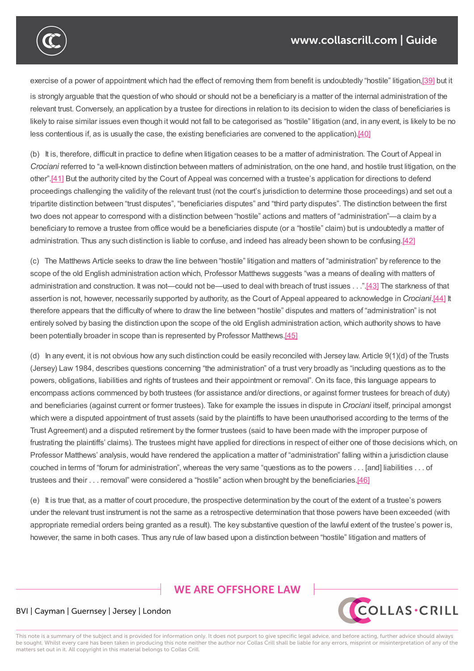

exercise of a power of appointment which had the effect of removing them from benefit is undoubtedly "hostile" litigation,[39] but it is strongly arguable that the question of who should or should not be a beneficiary is a matter of the internal administration of the relevant trust. Conversely, an application by a trustee for directions in relation to its decision to widen the class of beneficiaries is likely to raise similar issues even though it would not fall to be categorised as "hostile" litigation (and, in any event, is likely [to](https://www.collascrill.com/knowledge-documents/guides/dr-trusts-on-tour-jurisdiction-clauses-in-trust-instruments/?altTemplate=pdfDocument#_ftn39) be no less contentious if, as is usually the case, the existing beneficiaries are convened to the application).[40]

the trust by seeking, for example, reconstitution of the trust fund. Similarly, beneficiaries applying to set aside the *intra vires*

(b) It is, therefore, difficult in practice to define when litigation ceases to be a matter of administration. The Court of Appeal in *Crociani* referred to "a well-known distinction between matters of administration, on the one hand, and hostile trust litigation, on the other".[41] But the authority cited by the Court of Appeal was concerned with a trustee's application f[or](https://www.collascrill.com/knowledge-documents/guides/dr-trusts-on-tour-jurisdiction-clauses-in-trust-instruments/?altTemplate=pdfDocument#_ftn40) directions to defend proceedings challenging the validity of the relevant trust (not the court's jurisdiction to determine those proceedings) and set out a tripartite distinction between "trust disputes", "beneficiaries disputes" and "third party disputes". The distinction between the first two d[oes](https://www.collascrill.com/knowledge-documents/guides/dr-trusts-on-tour-jurisdiction-clauses-in-trust-instruments/?altTemplate=pdfDocument#_ftn41) not appear to correspond with a distinction between "hostile" actions and matters of "administration"—a claim by a beneficiary to remove a trustee from office would be a beneficiaries dispute (or a "hostile" claim) but is undoubtedly a matter of administration. Thus any such distinction is liable to confuse, and indeed has already been shown to be confusing.[42]

(c) The Matthews Article seeks to draw the line between "hostile" litigation and matters of "administration" by reference to the scope of the old English administration action which, Professor Matthews suggests "was a means of dealing with matters of administration and construction. It was not—could not be—used to deal with breach of trust issues . . ."[43] The st[arkn](https://www.collascrill.com/knowledge-documents/guides/dr-trusts-on-tour-jurisdiction-clauses-in-trust-instruments/?altTemplate=pdfDocument#_ftn42)ess of that assertion is not, however, necessarily supported by authority, as the Court of Appeal appeared to acknowledge in *Crociani*.[44] It therefore appears that the difficulty of where to draw the line between "hostile" disputes and matters of "administration" is not entirely solved by basing the distinction upon the scope of the old English administration action, which [autho](https://www.collascrill.com/knowledge-documents/guides/dr-trusts-on-tour-jurisdiction-clauses-in-trust-instruments/?altTemplate=pdfDocument#_ftn43)rity shows to have been potentially broader in scope than is represented by Professor Matthews.[45]

(d) In any event, it is not obvious how any such distinction could be easily reconciled with Jersey law. Article 9(1)(d) of the Trusts (Jersey) Law 1984, describes questions concerning "the administration" of a trust very broadly as "including questions as to the powers, obligations, liabilities and rights of trustees and their appointment or r[emo](https://www.collascrill.com/knowledge-documents/guides/dr-trusts-on-tour-jurisdiction-clauses-in-trust-instruments/?altTemplate=pdfDocument#_ftn45)val". On its face, this language appears to encompass actions commenced by both trustees (for assistance and/or directions, or against former trustees for breach of duty) and beneficiaries (against current or former trustees). Take for example the issues in dispute in *Crociani* itself, principal amongst which were a disputed appointment of trust assets (said by the plaintiffs to have been unauthorised according to the terms of the Trust Agreement) and a disputed retirement by the former trustees (said to have been made with the improper purpose of frustrating the plaintiffs' claims). The trustees might have applied for directions in respect of either one of those decisions which, on Professor Matthews' analysis, would have rendered the application a matter of "administration" falling within a jurisdiction clause couched in terms of "forum for administration", whereas the very same "questions as to the powers . . . [and] liabilities . . . of trustees and their . . . removal" were considered a "hostile" action when brought by the beneficiaries.[46]

(e) It is true that, as a matter of court procedure, the prospective determination by the court of the extent of a trustee's powers under the relevant trust instrument is not the same as a retrospective determination that those powers have been exceeded (with appropriate remedial orders being granted as a result). The key substantive question of the lawful e[xtent](https://www.collascrill.com/knowledge-documents/guides/dr-trusts-on-tour-jurisdiction-clauses-in-trust-instruments/?altTemplate=pdfDocument#_ftn46) of the trustee's power is, however, the same in both cases. Thus any rule of law based upon a distinction between "hostile" litigation and matters of

# **WE ARE OFFSHORE LAW**



#### BVI | Cayman | Guernsey | Jersey | London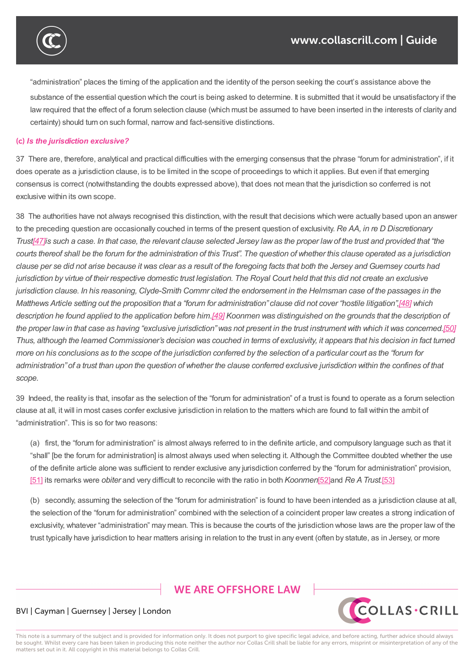

"administration" places the timing of the application and the identity of the person seeking the court's assistance above the substance of the essential question which the court is being asked to determine. It is submitted that it would be unsatisfactory if the law required that the effect of a forum selection clause (which must be assumed to have been inserted in the interests of clarity and certainty) should turn on such formal, narrow and fact-sensitive distinctions.

#### *Is the jurisdiction exclusive?*

37 There are, therefore, analytical and practical difficulties with the emerging consensus that the phrase "forum for administration", if it does operate as a jurisdiction clause, is to be limited in the scope of proceedings to which it applies. But even if that emerging consensus is correct (notwithstanding the doubts expressed above), that does not mean that the jurisdiction so conferred is not exclusive within its own scope.

38 The authorities have not always recognised this distinction, with the result that decisions which were actually based upon an answer to the preceding question are occasionally couched in terms of the present question of exclusivity. *Re AA, in re D Discretionary* Trust[47] is such a case. In that case, the relevant clause selected Jersey law as the proper law of the trust and provided that "the courts thereof shall be the forum for the administration of this Trust". The question of whether this clause operated as a jurisdiction clause per se did not arise because it was clear as a result of the foregoing facts that both the Jersey and Guernsey courts had juris[dictio](https://www.collascrill.com/knowledge-documents/guides/dr-trusts-on-tour-jurisdiction-clauses-in-trust-instruments/?altTemplate=pdfDocument#_ftn47)n by virtue of their respective domestic trust legislation. The Royal Court held that this did not create an exclusive jurisdiction clause. In his reasoning, Clyde-Smith Commr cited the endorsement in the Helmsman case of the passages in the Matthews Article setting out the proposition that a "forum for administration" clause did not cover "hostile litigation",[48] which description he found applied to the application before him.[49] Koonmen was distinguished on the grounds that the description of the proper law in that case as having "exclusive jurisdiction" was not present in the trust instrument with which it was concerned.[50] Thus, although the learned Commiss[ion](https://www.collascrill.com/knowledge-documents/guides/dr-trusts-on-tour-jurisdiction-clauses-in-trust-instruments/?altTemplate=pdfDocument#_ftn48)er's decision was couched in terms of exclusivity, it appears that his decision in fact turned more on his [con](https://www.collascrill.com/knowledge-documents/guides/dr-trusts-on-tour-jurisdiction-clauses-in-trust-instruments/?altTemplate=pdfDocument#_ftn49)clusions as to the scope of the jurisdiction conferred by the selection of a particular court as the "forum for adminis[t](https://www.collascrill.com/knowledge-documents/guides/dr-trusts-on-tour-jurisdiction-clauses-in-trust-instruments/?altTemplate=pdfDocument#_ftn50)ration" of a trust than upon the question of whether the clause conferred exclusive jurisdiction within the confines of that *scope.*

39 Indeed, the reality is that, insofar as the selection of the "forum for administration" of a trust is found to operate as a forum selection clause at all, it will in most cases confer exclusive jurisdiction in relation to the matters which are found to fall within the ambit of "administration". This is so for two reasons:

(a) first, the "forum for administration" is almost always referred to in the definite article, and compulsory language such as that it "shall" [be the forum for administration] is almost always used when selecting it. Although the Committee doubted whether the use of the definite article alone was sufficient to render exclusive any jurisdiction conferred by the "forum for administration" provision, [51] its remarks were *obiter* and very difficult to reconcile with the ratio in both *Koonmen*[52]and *Re ATrust.*[53]

(b) secondly, assuming the selection of the "forum for administration" is found to have been intended as a jurisdiction clause at all, the selection of the "forum for administration" combined with the selection of a coincident proper law creates a strong indication of [excl](https://www.collascrill.com/knowledge-documents/guides/dr-trusts-on-tour-jurisdiction-clauses-in-trust-instruments/?altTemplate=pdfDocument#_ftn51)usivity, whatever "administration" may mean. This is because the courts of the jurisdi[ction](https://www.collascrill.com/knowledge-documents/guides/dr-trusts-on-tour-jurisdiction-clauses-in-trust-instruments/?altTemplate=pdfDocument#_ftn52) whose laws are [the](https://www.collascrill.com/knowledge-documents/guides/dr-trusts-on-tour-jurisdiction-clauses-in-trust-instruments/?altTemplate=pdfDocument#_ftn53) proper law of the trust typically have jurisdiction to hear matters arising in relation to the trust in any event (often by statute, as in Jersey, or more

# **WE ARE OFFSHORE LAW**



#### BVI | Cayman | Guernsey | Jersey | London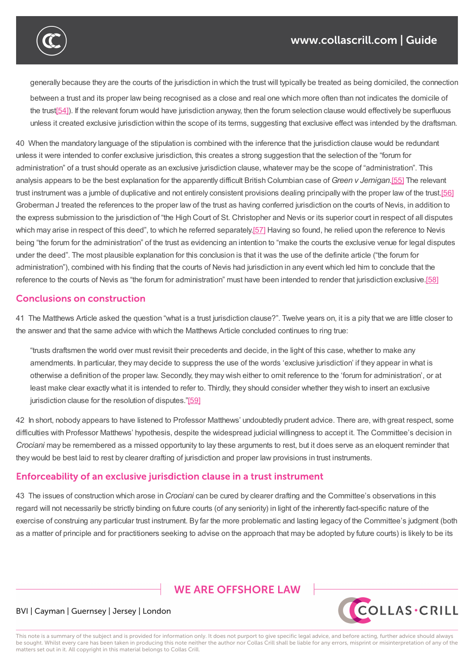

# $\mathcal{C}(\mathcal{C})$  for a coincident with the selection of the selection of a coincident proper law combined with the selection of a coincident proper law creates a strong indication of a coincident proper law creates a strong

generally because they are the courts of the jurisdiction in which the trust will typically be treated as being domiciled, the connection between a trust and its proper law being recognised as a close and real one which more often than not indicates the domicile of the trust[54]). If the relevant forum would have jurisdiction anyway, then the forum selection clause would effectively be superfluous unless it created exclusive jurisdiction within the scope of its terms, suggesting that exclusive effect was intended by the draftsman.

40 When the mandatory language of the stipulation is combined with the inference that the jurisdiction clause would be redundant unless it were [int](https://www.collascrill.com/knowledge-documents/guides/dr-trusts-on-tour-jurisdiction-clauses-in-trust-instruments/?altTemplate=pdfDocument#_ftn54)ended to confer exclusive jurisdiction, this creates a strong suggestion that the selection of the "forum for administration" of a trust should operate as an exclusive jurisdiction clause, whatever may be the scope of "administration". This analysis appears to be the best explanation for the apparently difficult British Columbian case of *Green v Jernigan*.[55] The relevant trust instrument was a jumble of duplicative and not entirely consistent provisions dealing principally with the proper law of the trust.[56] Groberman J treated the references to the proper law of the trust as having conferred jurisdiction on the courts of Nevis, in addition to the express submission to the jurisdiction of "the High Court of St. Christopher and Nevis or its superior court in res[pect](https://www.collascrill.com/knowledge-documents/guides/dr-trusts-on-tour-jurisdiction-clauses-in-trust-instruments/?altTemplate=pdfDocument#_ftn55) of all disputes which may ari[s](https://www.collascrill.com/knowledge-documents/guides/dr-trusts-on-tour-jurisdiction-clauses-in-trust-instruments/?altTemplate=pdfDocument#_ftn56)e in respect of this deed", to which he referred separately.[57] Having so found, he relied upon the reference to Nevis being "the forum for the administration" of the trust as evidencing an intention to "make the courts the exclusive venue for legal disputes under the deed". The most plausible explanation for this conclusion is that it was the use of the definite article ("the forum for administration"), combined with his finding that the courts of Nevis had ju[risdi](https://www.collascrill.com/knowledge-documents/guides/dr-trusts-on-tour-jurisdiction-clauses-in-trust-instruments/?altTemplate=pdfDocument#_ftn57)ction in any event which led him to conclude that the reference to the courts of Nevis as "the forum for administration" must have been intended to render that jurisdiction exclusive.[58]

#### **Conclusions on construction**

41 The Matthews Article asked the question "what is a trust jurisdiction clause?". Twelve years on, it is a pity that we are little [close](https://www.collascrill.com/knowledge-documents/guides/dr-trusts-on-tour-jurisdiction-clauses-in-trust-instruments/?altTemplate=pdfDocument#_ftn58)r to the answer and that the same advice with which the Matthews Article concluded continues to ring true:

"trusts draftsmen the world over must revisit their precedents and decide, in the light of this case, whether to make any amendments. In particular, they may decide to suppress the use of the words 'exclusive jurisdiction' if they appear in what is otherwise a definition of the proper law. Secondly, they may wish either to omit reference to the 'forum for administration', or at least make clear exactly what it is intended to refer to. Thirdly, they should consider whether they wish to insert an exclusive jurisdiction clause for the resolution of disputes."[59]

42 In short, nobody appears to have listened to Professor Matthews' undoubtedly prudent advice. There are, with great respect, some difficulties with Professor Matthews' hypothesis, despite the widespread judicial willingness to accept it. The Committee's decision in *Crociani* may be remembered as a missed opportu[nity](https://www.collascrill.com/knowledge-documents/guides/dr-trusts-on-tour-jurisdiction-clauses-in-trust-instruments/?altTemplate=pdfDocument#_ftn59) to lay these arguments to rest, but it does serve as an eloquent reminder that they would be best laid to rest by clearer drafting of jurisdiction and proper law provisions in trust instruments.

#### **Enforceability of an exclusive jurisdiction clause in a trust instrument**

43 The issues of construction which arose in *Crociani* can be cured by clearer drafting and the Committee's observations in this regard will not necessarily be strictly binding on future courts (of any seniority) in light of the inherently fact-specific nature of the exercise of construing any particular trust instrument. By far the more problematic and lasting legacy of the Committee's judgment (both as a matter of principle and for practitioners seeking to advise on the approach that may be adopted by future courts) is likely to be its

# **WE ARE OFFSHORE LAW**



#### BVI | Cayman | Guernsey | Jersey | London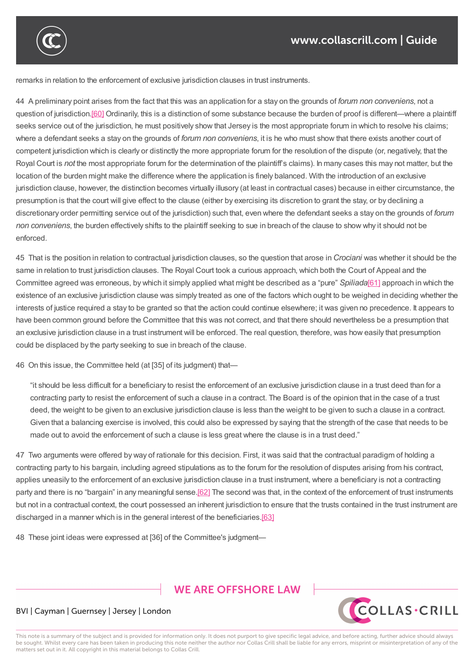

remarks in relation to the enforcement of exclusive jurisdiction clauses in trust instruments.

44 A preliminary point arises from the fact that this was an application for a stay on the grounds of *forum non conveniens*, not a question of jurisdiction.[60] Ordinarily, this is a distinction of some substance because the burden of proof is different—where a plaintiff seeks service out of the jurisdiction, he must positively show that Jersey is the most appropriate forum in which to resolve his claims; where a defendant seeks a stay on the grounds of *forum non conveniens*, it is he who must show that there exists another court of competent jurisdiction [whic](https://www.collascrill.com/knowledge-documents/guides/dr-trusts-on-tour-jurisdiction-clauses-in-trust-instruments/?altTemplate=pdfDocument#_ftn60)h is clearly or distinctly the more appropriate forum for the resolution of the dispute (or, negatively, that the Royal Court is *not* the most appropriate forum for the determination of the plaintiff's claims). In many cases this may not matter, but the location of the burden might make the difference where the application is finely balanced. With the introduction of an exclusive jurisdiction clause, however, the distinction becomes virtually illusory (at least in contractual cases) because in either circumstance, the presumption is that the court will give effect to the clause (either by exercising its discretion to grant the stay, or by declining a discretionary order permitting service out of the jurisdiction) such that, even where the defendant seeks a stay on the grounds of *forum non conveniens*, the burden effectively shifts to the plaintiff seeking to sue in breach of the clause to show why it should not be enforced.

as a matter of principle and for practitioners seeking to advise on the approach that may be adopted by future courts) is likely to be its

45 That is the position in relation to contractual jurisdiction clauses, so the question that arose in *Crociani* was whether it should be the same in relation to trust jurisdiction clauses. The Royal Court took a curious approach, which both the Court of Appeal and the Committee agreed was erroneous, by which it simply applied what might be described as a "pure" *Spiliada*[61] approach in which the existence of an exclusive jurisdiction clause was simply treated as one of the factors which ought to be weighed in deciding whether the interests of justice required a stay to be granted so that the action could continue elsewhere; it was given no precedence. It appears to have been common ground before the Committee that this was not correct, and that there should neverthele[ss](https://www.collascrill.com/knowledge-documents/guides/dr-trusts-on-tour-jurisdiction-clauses-in-trust-instruments/?altTemplate=pdfDocument#_ftn61) be a presumption that an exclusive jurisdiction clause in a trust instrument will be enforced. The real question, therefore, was how easily that presumption could be displaced by the party seeking to sue in breach of the clause.

46 On this issue, the Committee held (at [35] of its judgment) that—

"it should be less difficult for a beneficiary to resist the enforcement of an exclusive jurisdiction clause in a trust deed than for a contracting party to resist the enforcement of such a clause in a contract. The Board is of the opinion that in the case of a trust deed, the weight to be given to an exclusive jurisdiction clause is less than the weight to be given to such a clause in a contract. Given that a balancing exercise is involved, this could also be expressed by saying that the strength of the case that needs to be made out to avoid the enforcement of such a clause is less great where the clause is in a trust deed."

47 Two arguments were offered by way of rationale for this decision. First, it was said that the contractual paradigm of holding a contracting party to his bargain, including agreed stipulations as to the forum for the resolution of disputes arising from his contract, applies uneasily to the enforcement of an exclusive jurisdiction clause in a trust instrument, where a beneficiary is not a contracting party and there is no "bargain" in any meaningful sense.[62] The second was that, in the context of the enforcement of trust instruments but not in a contractual context, the court possessed an inherent jurisdiction to ensure that the trusts contained in the trust instrument are discharged in a manner which is in the general interest of the beneficiaries.[63]

48 These joint ideas were expressed at [36] of the Co[mmit](https://www.collascrill.com/knowledge-documents/guides/dr-trusts-on-tour-jurisdiction-clauses-in-trust-instruments/?altTemplate=pdfDocument#_ftn62)tee's judgment—

# **WE ARE OFFSHORE LAW**



#### BVI | Cayman | Guernsey | Jersey | London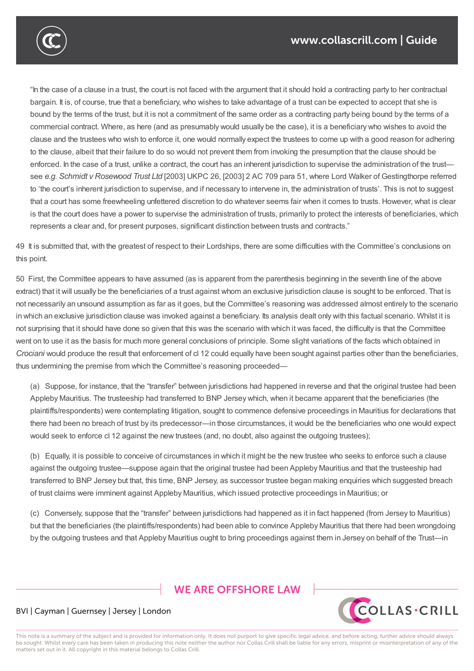

"In the case of a clause in a trust, the court is not faced with the argument that it should hold a contracting party to her contractual bargain. It is, of course, true that a beneficiary, who wishes to take advantage of a trust can be expected to accept that she is bound by the terms of the trust, but it is not a commitment of the same order as a contracting party being bound by the terms of a commercial contract. Where, as here (and as presumably would usually be the case), it is a beneficiary who wishes to avoid the clause and the trustees who wish to enforce it, one would normally expect the trustees to come up with a good reason for adhering to the clause, albeit that their failure to do so would not prevent them from invoking the presumption that the clause should be enforced. In the case of a trust, unlike a contract, the court has an inherent iurisdiction to supervise the administration of the trust see *e.g. Schmidt v Rosewood Trust Ltd* [2003] UKPC 26, [2003] 2 AC 709 para 51, where Lord Walker of Gestingthorpe referred to 'the court's inherent jurisdiction to supervise, and if necessary to intervene in, the administration of trusts'. This is not to suggest that a court has some freewheeling unfettered discretion to do whatever seems fair when it comes to trusts. However, what is clear is that the court does have a power to supervise the administration of trusts, primarily to protect the interests of beneficiaries, which represents a clear and, for present purposes, significant distinction between trusts and contracts."

applies uneasily to the enforcement of an exclusive jurisdiction clause instrument, where a beneficiary is not

49 It is submitted that, with the greatest of respect to their Lordships, there are some difficulties with the Committee's conclusions on this point.

50 First, the Committee appears to have assumed (as is apparent from the parenthesis beginning in the seventh line of the above extract) that it will usually be the beneficiaries of a trust against whom an exclusive jurisdiction clause is sought to be enforced. That is not necessarily an unsound assumption as far as it goes, but the Committee's reasoning was addressed almost entirely to the scenario in which an exclusive jurisdiction clause was invoked against a beneficiary. Its analysis dealt only with this factual scenario. Whilst it is not surprising that it should have done so given that this was the scenario with which it was faced, the difficulty is that the Committee went on to use it as the basis for much more general conclusions of principle. Some slight variations of the facts which obtained in *Crociani* would produce the result that enforcement of cl 12 could equally have been sought against parties other than the beneficiaries, thus undermining the premise from which the Committee's reasoning proceeded—

(a) Suppose, for instance, that the "transfer" between jurisdictions had happened in reverse and that the original trustee had been Appleby Mauritius. The trusteeship had transferred to BNP Jersey which, when it became apparent that the beneficiaries (the plaintiffs/respondents) were contemplating litigation, sought to commence defensive proceedings in Mauritius for declarations that there had been no breach of trust by its predecessor—in those circumstances, it would be the beneficiaries who one would expect would seek to enforce cl 12 against the new trustees (and, no doubt, also against the outgoing trustees);

(b) Equally, it is possible to conceive of circumstances in which it might be the new trustee who seeks to enforce such a clause against the outgoing trustee—suppose again that the original trustee had been Appleby Mauritius and that the trusteeship had transferred to BNP Jersey but that, this time, BNP Jersey, as successor trustee began making enquiries which suggested breach of trust claims were imminent against Appleby Mauritius, which issued protective proceedings in Mauritius; or

(c) Conversely, suppose that the "transfer" between jurisdictions had happened as it in fact happened (from Jersey to Mauritius) but that the beneficiaries (the plaintiffs/respondents) had been able to convince Appleby Mauritius that there had been wrongdoing by the outgoing trustees and that Appleby Mauritius ought to bring proceedings against them in Jersey on behalf of the Trust—in

# **WE ARE OFFSHORE I AW**



#### BVI | Cayman | Guernsey | Jersey | London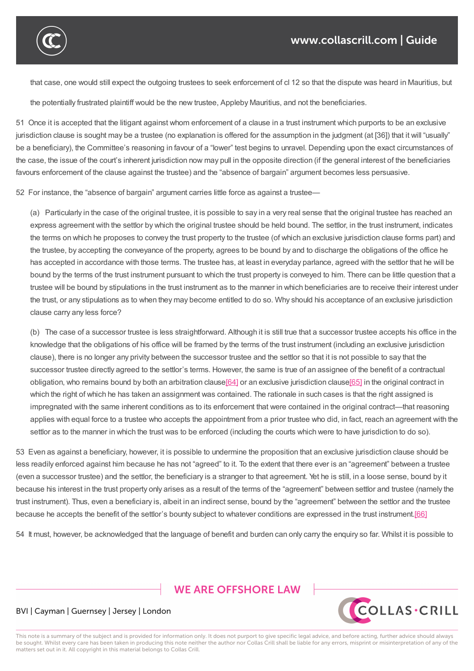that case, one would still expect the outgoing trustees to seek enforcement of cl 12 so that the dispute was heard in Mauritius, but

the potentially frustrated plaintiff would be the new trustee, Appleby Mauritius, and not the beneficiaries.

51 Once it is accepted that the litigant against whom enforcement of a clause in a trust instrument which purports to be an exclusive jurisdiction clause is sought may be a trustee (no explanation is offered for the assumption in the judgment (at [36]) that it will "usually" be a beneficiary), the Committee's reasoning in favour of a "lower" test begins to unravel. Depending upon the exact circumstances of the case, the issue of the court's inherent jurisdiction now may pull in the opposite direction (if the general interest of the beneficiaries favours enforcement of the clause against the trustee) and the "absence of bargain" argument becomes less persuasive.

52 For instance, the "absence of bargain" argument carries little force as against a trustee—

(a) Particularly in the case of the original trustee, it is possible to say in a very real sense that the original trustee has reached an express agreement with the settlor by which the original trustee should be held bound. The settlor, in the trust instrument, indicates the terms on which he proposes to convey the trust property to the trustee (of which an exclusive jurisdiction clause forms part) and the trustee, by accepting the conveyance of the property, agrees to be bound by and to discharge the obligations of the office he has accepted in accordance with those terms. The trustee has, at least in everyday parlance, agreed with the settlor that he will be bound by the terms of the trust instrument pursuant to which the trust property is conveyed to him. There can be little question that a trustee will be bound by stipulations in the trust instrument as to the manner in which beneficiaries are to receive their interest under the trust, or any stipulations as to when they may become entitled to do so. Why should his acceptance of an exclusive jurisdiction clause carry any less force?

(b) The case of a successor trustee is less straightforward. Although it is still true that a successor trustee accepts his office in the knowledge that the obligations of his office will be framed by the terms of the trust instrument (including an exclusive jurisdiction clause), there is no longer any privity between the successor trustee and the settlor so that it is not possible to say that the successor trustee directly agreed to the settlor's terms. However, the same is true of an assignee of the benefit of a contractual obligation, who remains bound by both an arbitration clause[64] or an exclusive jurisdiction clause[65] in the original contract in which the right of which he has taken an assignment was contained. The rationale in such cases is that the right assigned is impregnated with the same inherent conditions as to its enforcement that were contained in the original contract—that reasoning applies with equal force to a trustee who accepts the appoi[ntme](https://www.collascrill.com/knowledge-documents/guides/dr-trusts-on-tour-jurisdiction-clauses-in-trust-instruments/?altTemplate=pdfDocument#_ftn64)nt from a prior trustee who did, in [fact,](https://www.collascrill.com/knowledge-documents/guides/dr-trusts-on-tour-jurisdiction-clauses-in-trust-instruments/?altTemplate=pdfDocument#_ftn65) reach an agreement with the settlor as to the manner in which the trust was to be enforced (including the courts which were to have jurisdiction to do so).

53 Even as against a beneficiary, however, it is possible to undermine the proposition that an exclusive jurisdiction clause should be less readily enforced against him because he has not "agreed" to it. To the extent that there ever is an "agreement" between a trustee (even a successor trustee) and the settlor, the beneficiary is a stranger to that agreement. Yet he is still, in a loose sense, bound by it because his interest in the trust property only arises as a result of the terms of the "agreement" between settlor and trustee (namely the trust instrument). Thus, even a beneficiary is, albeit in an indirect sense, bound by the "agreement" between the settlor and the trustee because he accepts the benefit of the settlor's bounty subject to whatever conditions are expressed in the trust instrument.[66]

54 It must, however, be acknowledged that the language of benefit and burden can only carry the enquiry so far. Whilst it is possible to

**WE ARE OFFSHORE LAW** 



#### BVI | Cayman | Guernsey | Jersey | London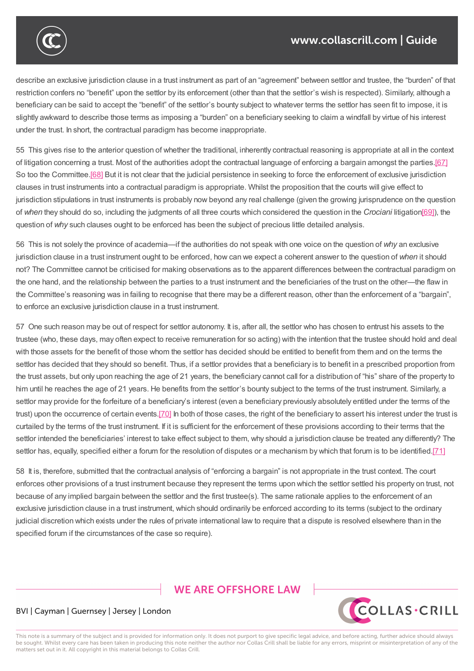

describe an exclusive jurisdiction clause in a trust instrument as part of an "agreement" between settlor and trustee, the "burden" of that restriction confers no "benefit" upon the settlor by its enforcement (other than that the settlor's wish is respected). Similarly, although a beneficiary can be said to accept the "benefit" of the settlor's bounty subject to whatever terms the settlor has seen fit to impose, it is slightly awkward to describe those terms as imposing a "burden" on a beneficiary seeking to claim a windfall by virtue of his interest under the trust. In short, the contractual paradigm has become inappropriate.

54 It must, however, be acknowledged that the language of benefit and burden can only carry the enquiry so far. Whilst it is possible to

55 This gives rise to the anterior question of whether the traditional, inherently contractual reasoning is appropriate at all in the context of litigation concerning a trust. Most of the authorities adopt the contractual language of enforcing a bargain amongst the parties.[67] So too the Committee.[68] But it is not clear that the judicial persistence in seeking to force the enforcement of exclusive jurisdiction clauses in trust instruments into a contractual paradigm is appropriate. Whilst the proposition that the courts will give effect to jurisdiction stipulations in trust instruments is probably now beyond any real challenge (given the growing jurisprudence on the q[uestio](https://www.collascrill.com/knowledge-documents/guides/dr-trusts-on-tour-jurisdiction-clauses-in-trust-instruments/?altTemplate=pdfDocument#_ftn67)n of *when* they should do [so,](https://www.collascrill.com/knowledge-documents/guides/dr-trusts-on-tour-jurisdiction-clauses-in-trust-instruments/?altTemplate=pdfDocument#_ftn68) including the judgments of all three courts which considered the question in the *Crociani* litigation[69]), the question of *why* such clauses ought to be enforced has been the subject of precious little detailed analysis.

56 This is not solely the province of academia—if the authorities do not speak with one voice on the question of *why* an exclusive jurisdiction clause in a trust instrument ought to be enforced, how can we expect a coherent answer to the question of *when* it [sho](https://www.collascrill.com/knowledge-documents/guides/dr-trusts-on-tour-jurisdiction-clauses-in-trust-instruments/?altTemplate=pdfDocument#_ftn69)uld not? The Committee cannot be criticised for making observations as to the apparent differences between the contractual paradigm on the one hand, and the relationship between the parties to a trust instrument and the beneficiaries of the trust on the other—the flaw in the Committee's reasoning was in failing to recognise that there may be a different reason, other than the enforcement of a "bargain", to enforce an exclusive jurisdiction clause in a trust instrument.

57 One such reason may be out of respect for settlor autonomy. It is, after all, the settlor who has chosen to entrust his assets to the trustee (who, these days, may often expect to receive remuneration for so acting) with the intention that the trustee should hold and deal with those assets for the benefit of those whom the settlor has decided should be entitled to benefit from them and on the terms the settlor has decided that they should so benefit. Thus, if a settlor provides that a beneficiary is to benefit in a prescribed proportion from the trust assets, but only upon reaching the age of 21 years, the beneficiary cannot call for a distribution of "his" share of the property to him until he reaches the age of 21 years. He benefits from the settlor's bounty subject to the terms of the trust instrument. Similarly, a settlor may provide for the forfeiture of a beneficiary's interest (even a beneficiary previously absolutely entitled under the terms of the trust) upon the occurrence of certain events.[70] In both of those cases, the right of the beneficiary to assert his interest under the trust is curtailed by the terms of the trust instrument. If it is sufficient for the enforcement of these provisions according to their terms that the settlor intended the beneficiaries' interest to take effect subject to them, why should a jurisdiction clause be treated any differently? The settlor has, equally, specified either a [for](https://www.collascrill.com/knowledge-documents/guides/dr-trusts-on-tour-jurisdiction-clauses-in-trust-instruments/?altTemplate=pdfDocument#_ftn70)um for the resolution of disputes or a mechanism by which that forum is to be identified.[71]

58 It is, therefore, submitted that the contractual analysis of "enforcing a bargain" is not appropriate in the trust context. The court enforces other provisions of a trust instrument because they represent the terms upon which the settlor settled his property on tr[ust,](https://www.collascrill.com/knowledge-documents/guides/dr-trusts-on-tour-jurisdiction-clauses-in-trust-instruments/?altTemplate=pdfDocument#_ftn71) not because of any implied bargain between the settlor and the first trustee(s). The same rationale applies to the enforcement of an exclusive jurisdiction clause in a trust instrument, which should ordinarily be enforced according to its terms (subject to the ordinary judicial discretion which exists under the rules of private international law to require that a dispute is resolved elsewhere than in the specified forum if the circumstances of the case so require).

# **WE ARE OFFSHORE LAW**



#### BVI | Cayman | Guernsey | Jersey | London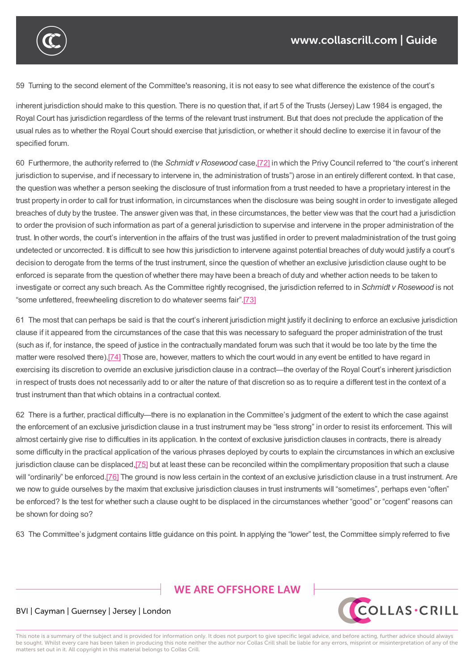

specified forum if the circumstances of the case so require).

59 Turning to the second element of the Committee's reasoning, it is not easy to see what difference the existence of the court's

inherent jurisdiction should make to this question. There is no question that, if art 5 of the Trusts (Jersey) Law 1984 is engaged, the Royal Court has jurisdiction regardless of the terms of the relevant trust instrument. But that does not preclude the application of the usual rules as to whether the Royal Court should exercise that jurisdiction, or whether it should decline to exercise it in favour of the specified forum.

60 Furthermore, the authority referred to (the *Schmidt v Rosewood* case,[72] in which the Privy Council referred to "the court's inherent jurisdiction to supervise, and if necessary to intervene in, the administration of trusts") arose in an entirely different context. In that case, the question was whether a person seeking the disclosure of trust information from a trust needed to have a proprietary interest in the trust property in order to call for trust information, in circumstances when the [di](https://www.collascrill.com/knowledge-documents/guides/dr-trusts-on-tour-jurisdiction-clauses-in-trust-instruments/?altTemplate=pdfDocument#_ftn72)sclosure was being sought in order to investigate alleged breaches of duty by the trustee. The answer given was that, in these circumstances, the better view was that the court had a jurisdiction to order the provision of such information as part of a general jurisdiction to supervise and intervene in the proper administration of the trust. In other words, the court's intervention in the affairs of the trust was justified in order to prevent maladministration of the trust going undetected or uncorrected. It is difficult to see how this jurisdiction to intervene against potential breaches of duty would justify a court's decision to derogate from the terms of the trust instrument, since the question of whether an exclusive jurisdiction clause ought to be enforced is separate from the question of whether there may have been a breach of duty and whether action needs to be taken to investigate or correct any such breach. As the Committee rightly recognised, the jurisdiction referred to in *Schmidt v Rosewood* is not "some unfettered, freewheeling discretion to do whatever seems fair".[73]

61 The most that can perhaps be said is that the court's inherent jurisdiction might justify it declining to enforce an exclusive jurisdiction clause if it appeared from the circumstances of the case that this was necessary to safeguard the proper administration of the trust (such as if, for instance, the speed of justice in the contractually mand[ated](https://www.collascrill.com/knowledge-documents/guides/dr-trusts-on-tour-jurisdiction-clauses-in-trust-instruments/?altTemplate=pdfDocument#_ftn73) forum was such that it would be too late by the time the matter were resolved there).[74] Those are, however, matters to which the court would in any event be entitled to have regard in exercising its discretion to override an exclusive jurisdiction clause in a contract—the overlay of the Royal Court's inherent jurisdiction in respect of trusts does not necessarily add to or alter the nature of that discretion so as to require a different test in the context of a trust instrument than that whi[ch](https://www.collascrill.com/knowledge-documents/guides/dr-trusts-on-tour-jurisdiction-clauses-in-trust-instruments/?altTemplate=pdfDocument#_ftn74) obtains in a contractual context.

62 There is a further, practical difficulty—there is no explanation in the Committee's judgment of the extent to which the case against the enforcement of an exclusive jurisdiction clause in a trust instrument may be "less strong" in order to resist its enforcement. This will almost certainly give rise to difficulties in its application. In the context of exclusive jurisdiction clauses in contracts, there is already some difficulty in the practical application of the various phrases deployed by courts to explain the circumstances in which an exclusive jurisdiction clause can be displaced, [75] but at least these can be reconciled within the complimentary proposition that such a clause will "ordinarily" be enforced.[76] The ground is now less certain in the context of an exclusive jurisdiction clause in a trust instrument. Are we now to guide ourselves by the maxim that exclusive jurisdiction clauses in trust instruments will "sometimes", perhaps even "often" be enforced? Is the test for whether [such](https://www.collascrill.com/knowledge-documents/guides/dr-trusts-on-tour-jurisdiction-clauses-in-trust-instruments/?altTemplate=pdfDocument#_ftn75) a clause ought to be displaced in the circumstances whether "good" or "cogent" reasons can be shown for doing so?

63 The Committee's judgment contains little guidance on this point. In applying the "lower" test, the Committee simply referred to five

# **WE ARE OFFSHORE LAW**



#### BVI | Cayman | Guernsey | Jersey | London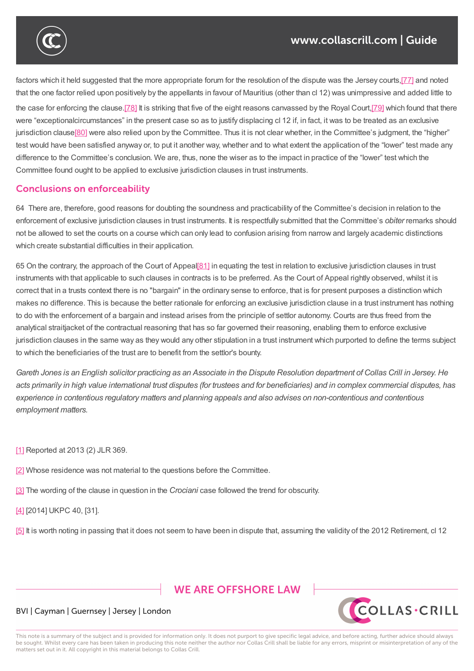

factors which it held suggested that the more appropriate forum for the resolution of the dispute was the Jersey courts,[77] and noted that the one factor relied upon positively by the appellants in favour of Mauritius (other than cl 12) was unimpressive and added little to the case for enforcing the clause.[78] It is striking that five of the eight reasons canvassed by the Royal Court,[79] which found that there were "exceptionalcircumstances" in the present case so as to justify displacing cl 12 if, in fact, it was to be treated as [an](https://www.collascrill.com/knowledge-documents/guides/dr-trusts-on-tour-jurisdiction-clauses-in-trust-instruments/?altTemplate=pdfDocument#_ftn77) exclusive jurisdiction clause<sup>[80]</sup> were also relied upon by the Committee. Thus it is not clear whether, in the Committee's judgment, the "higher" test would have been satisfied a[nywa](https://www.collascrill.com/knowledge-documents/guides/dr-trusts-on-tour-jurisdiction-clauses-in-trust-instruments/?altTemplate=pdfDocument#_ftn78)y or, to put it another way, whether and to what extent the application of [the](https://www.collascrill.com/knowledge-documents/guides/dr-trusts-on-tour-jurisdiction-clauses-in-trust-instruments/?altTemplate=pdfDocument#_ftn79) "lower" test made any difference to the Committee's conclusion. We are, thus, none the wiser as to the impact in practice of the "lower" test which the Committee found [oug](https://www.collascrill.com/knowledge-documents/guides/dr-trusts-on-tour-jurisdiction-clauses-in-trust-instruments/?altTemplate=pdfDocument#_ftn80)ht to be applied to exclusive jurisdiction clauses in trust instruments.

63 The Committee's judgment contains little guidance on this point. In applying the "lower" test, the Committee simply referred to five

#### **Conclusions on enforceability**

64 There are, therefore, good reasons for doubting the soundness and practicability of the Committee's decision in relation to the enforcement of exclusive jurisdiction clauses in trust instruments. It is respectfully submitted that the Committee's *obiter* remarks should not be allowed to set the courts on a course which can only lead to confusion arising from narrow and largely academic distinctions which create substantial difficulties in their application.

65 On the contrary, the approach of the Court of Appeal[81] in equating the test in relation to exclusive jurisdiction clauses in trust instruments with that applicable to such clauses in contracts is to be preferred. As the Court of Appeal rightly observed, whilst it is correct that in a trusts context there is no "bargain" in the ordinary sense to enforce, that is for present purposes a distinction which makes no difference. This is because the better ration[ale](https://www.collascrill.com/knowledge-documents/guides/dr-trusts-on-tour-jurisdiction-clauses-in-trust-instruments/?altTemplate=pdfDocument#_ftn81) for enforcing an exclusive jurisdiction clause in a trust instrument has nothing to do with the enforcement of a bargain and instead arises from the principle of settlor autonomy. Courts are thus freed from the analytical straitjacket of the contractual reasoning that has so far governed their reasoning, enabling them to enforce exclusive jurisdiction clauses in the same way as they would any other stipulation in a trust instrument which purported to define the terms subject to which the beneficiaries of the trust are to benefit from the settlor's bounty.

Gareth Jones is an English solicitor practicing as an Associate in the Dispute Resolution department of Collas Crill in Jersey. He acts primarily in high value international trust disputes (for trustees and for beneficiaries) and in complex commercial disputes, has *experience in contentious regulatory matters and planning appeals and also advises on non-contentious and contentious employment matters.*

- [1] Reported at 2013 (2) JLR 369.
- [2] Whose residence was not material to the questions before the Committee.
- [\[3\]](https://www.collascrill.com/knowledge-documents/guides/dr-trusts-on-tour-jurisdiction-clauses-in-trust-instruments/?altTemplate=pdfDocument#_ftnref1) The wording of the clause in question in the *Crociani* case followed the trend for obscurity.
- [\[4\]](https://www.collascrill.com/knowledge-documents/guides/dr-trusts-on-tour-jurisdiction-clauses-in-trust-instruments/?altTemplate=pdfDocument#_ftnref2) [2014] UKPC 40, [31].
- [\[5\]](https://www.collascrill.com/knowledge-documents/guides/dr-trusts-on-tour-jurisdiction-clauses-in-trust-instruments/?altTemplate=pdfDocument#_ftnref3) It is worth noting in passing that it does not seem to have been in dispute that, assuming the validity of the 2012 Retirement, cl 12

# **WE ARE OFFSHORE LAW**



#### BVI | Cayman | Guernsey | Jersey | London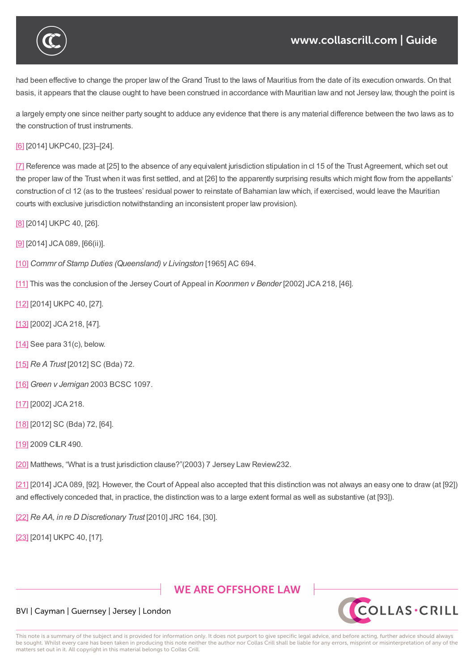

#### www.collascrill.com | Guide

had been effective to change the proper law of the Grand Trust to the laws of Mauritius from the date of its execution onwards. On that basis, it appears that the clause ought to have been construed in accordance with Mauritian law and not Jersey law, though the point is

[5] It is worth noting in passing that it does not seem to have been in dispute that, assuming the validity of the 2012 Retirement, cl 12

a largely empty one since neither party sought to adduce any evidence that there is any material difference between the two laws as to the construction of trust instruments.

[6] [2014] UKPC40, [23]–[24].

[7] Reference was made at [25] to the absence of any equivalent jurisdiction stipulation in cl 15 of the Trust Agreement, which set out the proper law of the Trust when it was first settled, and at [26] to the apparently surprising results which might flow from the appellants' [co](https://www.collascrill.com/knowledge-documents/guides/dr-trusts-on-tour-jurisdiction-clauses-in-trust-instruments/?altTemplate=pdfDocument#_ftnref6)nstruction of cl 12 (as to the trustees' residual power to reinstate of Bahamian law which, if exercised, would leave the Mauritian [co](https://www.collascrill.com/knowledge-documents/guides/dr-trusts-on-tour-jurisdiction-clauses-in-trust-instruments/?altTemplate=pdfDocument#_ftnref7)urts with exclusive jurisdiction notwithstanding an inconsistent proper law provision).

[8] [2014] UKPC 40, [26].

[9] [2014] JCA 089, [66(ii)].

[\[10](https://www.collascrill.com/knowledge-documents/guides/dr-trusts-on-tour-jurisdiction-clauses-in-trust-instruments/?altTemplate=pdfDocument#_ftnref8)] *Commr of Stamp Duties (Queensland) v Livingston* [1965] AC 694.

[\[11](https://www.collascrill.com/knowledge-documents/guides/dr-trusts-on-tour-jurisdiction-clauses-in-trust-instruments/?altTemplate=pdfDocument#_ftnref9)] This was the conclusion of the Jersey Court of Appeal in *Koonmen v Bender* [2002] JCA 218, [46].

[\[12\]](https://www.collascrill.com/knowledge-documents/guides/dr-trusts-on-tour-jurisdiction-clauses-in-trust-instruments/?altTemplate=pdfDocument#_ftnref10) [2014] UKPC 40, [27].

[\[13\]](https://www.collascrill.com/knowledge-documents/guides/dr-trusts-on-tour-jurisdiction-clauses-in-trust-instruments/?altTemplate=pdfDocument#_ftnref11) [2002] JCA 218, [47].

[\[14\]](https://www.collascrill.com/knowledge-documents/guides/dr-trusts-on-tour-jurisdiction-clauses-in-trust-instruments/?altTemplate=pdfDocument#_ftnref12) See para 31(c), below.

[\[15\]](https://www.collascrill.com/knowledge-documents/guides/dr-trusts-on-tour-jurisdiction-clauses-in-trust-instruments/?altTemplate=pdfDocument#_ftnref13) *Re ATrust* [2012] SC (Bda) 72.

[\[16\]](https://www.collascrill.com/knowledge-documents/guides/dr-trusts-on-tour-jurisdiction-clauses-in-trust-instruments/?altTemplate=pdfDocument#_ftnref14) *Green v Jernigan* 2003 BCSC 1097.

[\[17\]](https://www.collascrill.com/knowledge-documents/guides/dr-trusts-on-tour-jurisdiction-clauses-in-trust-instruments/?altTemplate=pdfDocument#_ftnref15) [2002] JCA 218.

[\[18\]](https://www.collascrill.com/knowledge-documents/guides/dr-trusts-on-tour-jurisdiction-clauses-in-trust-instruments/?altTemplate=pdfDocument#_ftnref16) [2012] SC (Bda) 72, [64].

[\[19\]](https://www.collascrill.com/knowledge-documents/guides/dr-trusts-on-tour-jurisdiction-clauses-in-trust-instruments/?altTemplate=pdfDocument#_ftnref17) 2009 CILR 490.

[\[20\]](https://www.collascrill.com/knowledge-documents/guides/dr-trusts-on-tour-jurisdiction-clauses-in-trust-instruments/?altTemplate=pdfDocument#_ftnref18) Matthews, "What is a trust jurisdiction clause?"(2003) 7 Jersey Law Review232.

[\[21\]](https://www.collascrill.com/knowledge-documents/guides/dr-trusts-on-tour-jurisdiction-clauses-in-trust-instruments/?altTemplate=pdfDocument#_ftnref19) [2014] JCA 089, [92]. However, the Court of Appeal also accepted that this distinction was not always an easy one to draw (at [92]) [and](https://www.collascrill.com/knowledge-documents/guides/dr-trusts-on-tour-jurisdiction-clauses-in-trust-instruments/?altTemplate=pdfDocument#_ftnref20) effectively conceded that, in practice, the distinction was to a large extent formal as well as substantive (at [93]).

[\[22\]](https://www.collascrill.com/knowledge-documents/guides/dr-trusts-on-tour-jurisdiction-clauses-in-trust-instruments/?altTemplate=pdfDocument#_ftnref21) *Re AA, in re D Discretionary Trust* [2010] JRC 164, [30].

[23] [2014] UKPC 40, [17].

# **WE ARE OFFSHORE LAW**



#### BVI | Cayman | Guernsey | Jersey | London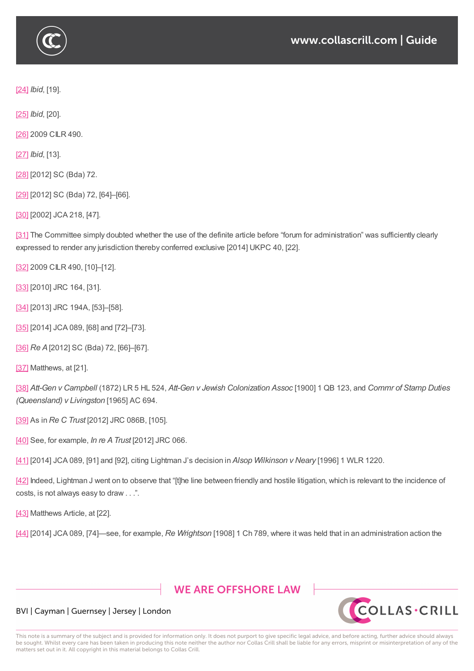

[24] *Ibid*, [19].

[25] *Ibid*, [20].

[\[26\]](https://www.collascrill.com/knowledge-documents/guides/dr-trusts-on-tour-jurisdiction-clauses-in-trust-instruments/?altTemplate=pdfDocument#_ftnref24) 2009 CILR 490.

[\[27\]](https://www.collascrill.com/knowledge-documents/guides/dr-trusts-on-tour-jurisdiction-clauses-in-trust-instruments/?altTemplate=pdfDocument#_ftnref25) *Ibid*, [13].

[\[28\]](https://www.collascrill.com/knowledge-documents/guides/dr-trusts-on-tour-jurisdiction-clauses-in-trust-instruments/?altTemplate=pdfDocument#_ftnref26) [2012] SC (Bda) 72.

[\[29\]](https://www.collascrill.com/knowledge-documents/guides/dr-trusts-on-tour-jurisdiction-clauses-in-trust-instruments/?altTemplate=pdfDocument#_ftnref27) [2012] SC (Bda) 72, [64]-[66].

[\[30\]](https://www.collascrill.com/knowledge-documents/guides/dr-trusts-on-tour-jurisdiction-clauses-in-trust-instruments/?altTemplate=pdfDocument#_ftnref28) [2002] JCA 218, [47].

[\[31\]](https://www.collascrill.com/knowledge-documents/guides/dr-trusts-on-tour-jurisdiction-clauses-in-trust-instruments/?altTemplate=pdfDocument#_ftnref29) The Committee simply doubted whether the use of the definite article before "forum for administration" was sufficiently clearly [expr](https://www.collascrill.com/knowledge-documents/guides/dr-trusts-on-tour-jurisdiction-clauses-in-trust-instruments/?altTemplate=pdfDocument#_ftnref30)essed to render any jurisdiction thereby conferred exclusive [2014] UKPC 40, [22].

[\[32\]](https://www.collascrill.com/knowledge-documents/guides/dr-trusts-on-tour-jurisdiction-clauses-in-trust-instruments/?altTemplate=pdfDocument#_ftnref31) 2009 CILR 490, [10]–[12].

[33] [2010] JRC 164, [31].

[\[34\]](https://www.collascrill.com/knowledge-documents/guides/dr-trusts-on-tour-jurisdiction-clauses-in-trust-instruments/?altTemplate=pdfDocument#_ftnref32) [2013] JRC 194A, [53]-[58].

[\[35\]](https://www.collascrill.com/knowledge-documents/guides/dr-trusts-on-tour-jurisdiction-clauses-in-trust-instruments/?altTemplate=pdfDocument#_ftnref33) [2014] JCA 089, [68] and [72]-[73].

[\[36\]](https://www.collascrill.com/knowledge-documents/guides/dr-trusts-on-tour-jurisdiction-clauses-in-trust-instruments/?altTemplate=pdfDocument#_ftnref34) *Re A*[2012] SC (Bda) 72, [66]–[67].

[\[37\]](https://www.collascrill.com/knowledge-documents/guides/dr-trusts-on-tour-jurisdiction-clauses-in-trust-instruments/?altTemplate=pdfDocument#_ftnref35) Matthews, at [21].

[\[38\]](https://www.collascrill.com/knowledge-documents/guides/dr-trusts-on-tour-jurisdiction-clauses-in-trust-instruments/?altTemplate=pdfDocument#_ftnref36) *Att-Gen v Campbell* (1872) LR 5 HL 524, *Att-Gen v Jewish Colonization Assoc* [1900] 1 QB 123, and *Commr of Stamp Duties [\(Que](https://www.collascrill.com/knowledge-documents/guides/dr-trusts-on-tour-jurisdiction-clauses-in-trust-instruments/?altTemplate=pdfDocument#_ftnref37)ensland) v Livingston* [1965] AC 694.

[\[39\]](https://www.collascrill.com/knowledge-documents/guides/dr-trusts-on-tour-jurisdiction-clauses-in-trust-instruments/?altTemplate=pdfDocument#_ftnref38) As in *Re C Trust* [2012] JRC 086B, [105].

[40] See, for example, *In re ATrust* [2012] JRC 066.

[\[41\]](https://www.collascrill.com/knowledge-documents/guides/dr-trusts-on-tour-jurisdiction-clauses-in-trust-instruments/?altTemplate=pdfDocument#_ftnref39) [2014] JCA 089, [91] and [92], citing Lightman J's decision in *Alsop Wilkinson v Neary* [1996] 1 WLR 1220.

[\[42\]](https://www.collascrill.com/knowledge-documents/guides/dr-trusts-on-tour-jurisdiction-clauses-in-trust-instruments/?altTemplate=pdfDocument#_ftnref40) Indeed, Lightman J went on to observe that "[t]he line between friendly and hostile litigation, which is relevant to the incidence of [cost](https://www.collascrill.com/knowledge-documents/guides/dr-trusts-on-tour-jurisdiction-clauses-in-trust-instruments/?altTemplate=pdfDocument#_ftnref41)s, is not always easy to draw . . .".

[\[43\]](https://www.collascrill.com/knowledge-documents/guides/dr-trusts-on-tour-jurisdiction-clauses-in-trust-instruments/?altTemplate=pdfDocument#_ftnref42) Matthews Article, at [22].

[44] [2014] JCA 089, [74]—see, for example, *Re Wrightson* [1908] 1 Ch 789, where it was held that in an administration action the

# **WE ARE OFFSHORE LAW**



#### BVI | Cayman | Guernsey | Jersey | London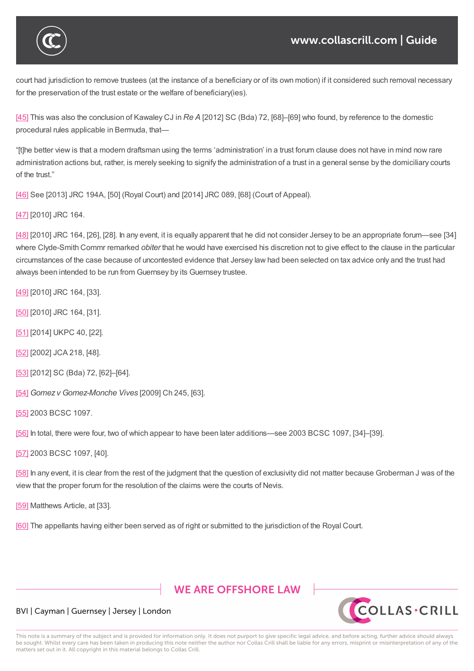

court had jurisdiction to remove trustees (at the instance of a beneficiary or of its own motion) if it considered such removal necessary for the preservation of the trust estate or the welfare of beneficiary(ies).

[44] [2014] JCA 089, [74]—see, for example, *Re Wrightson* [1908] 1 Ch 789, where it was held that in an administration action the

[45] This was also the conclusion of Kawaley CJ in *Re A* [2012] SC (Bda) 72, [68]–[69] who found, by reference to the domestic procedural rules applicable in Bermuda, that—

"[t]he better view is that a modern draftsman using the terms 'administration' in a trust forum clause does not have in mind now rare [adm](https://www.collascrill.com/knowledge-documents/guides/dr-trusts-on-tour-jurisdiction-clauses-in-trust-instruments/?altTemplate=pdfDocument#_ftnref45)inistration actions but, rather, is merely seeking to signify the administration of a trust in a general sense by the domiciliary courts of the trust."

[46] See [2013] JRC 194A, [50] (Royal Court) and [2014] JRC 089, [68] (Court of Appeal).

[47] [2010] JRC 164.

[\[48\]](https://www.collascrill.com/knowledge-documents/guides/dr-trusts-on-tour-jurisdiction-clauses-in-trust-instruments/?altTemplate=pdfDocument#_ftnref46) [2010] JRC 164, [26], [28]. In any event, it is equally apparent that he did not consider Jersey to be an appropriate forum—see [34] where Clyde-Smith Commr remarked *obiter* that he would have exercised his discretion not to give effect to the clause in the particular [circu](https://www.collascrill.com/knowledge-documents/guides/dr-trusts-on-tour-jurisdiction-clauses-in-trust-instruments/?altTemplate=pdfDocument#_ftnref47)mstances of the case because of uncontested evidence that Jersey law had been selected on tax advice only and the trust had [alwa](https://www.collascrill.com/knowledge-documents/guides/dr-trusts-on-tour-jurisdiction-clauses-in-trust-instruments/?altTemplate=pdfDocument#_ftnref48)ys been intended to be run from Guernsey by its Guernsey trustee.

[49] [2010] JRC 164, [33].

[50] [2010] JRC 164, [31].

[\[51\]](https://www.collascrill.com/knowledge-documents/guides/dr-trusts-on-tour-jurisdiction-clauses-in-trust-instruments/?altTemplate=pdfDocument#_ftnref49) [2014] UKPC 40, [22].

[\[52\]](https://www.collascrill.com/knowledge-documents/guides/dr-trusts-on-tour-jurisdiction-clauses-in-trust-instruments/?altTemplate=pdfDocument#_ftnref50) [2002] JCA 218, [48].

[\[53\]](https://www.collascrill.com/knowledge-documents/guides/dr-trusts-on-tour-jurisdiction-clauses-in-trust-instruments/?altTemplate=pdfDocument#_ftnref51) [2012] SC (Bda) 72, [62]-[64].

[\[54\]](https://www.collascrill.com/knowledge-documents/guides/dr-trusts-on-tour-jurisdiction-clauses-in-trust-instruments/?altTemplate=pdfDocument#_ftnref52) *Gomez v Gomez-Monche Vives* [2009] Ch 245, [63].

[\[55\]](https://www.collascrill.com/knowledge-documents/guides/dr-trusts-on-tour-jurisdiction-clauses-in-trust-instruments/?altTemplate=pdfDocument#_ftnref53) 2003 BCSC 1097.

[\[56\]](https://www.collascrill.com/knowledge-documents/guides/dr-trusts-on-tour-jurisdiction-clauses-in-trust-instruments/?altTemplate=pdfDocument#_ftnref54) In total, there were four, two of which appear to have been later additions—see 2003 BCSC 1097, [34]–[39].

[\[57\]](https://www.collascrill.com/knowledge-documents/guides/dr-trusts-on-tour-jurisdiction-clauses-in-trust-instruments/?altTemplate=pdfDocument#_ftnref55) 2003 BCSC 1097, [40].

[\[58\]](https://www.collascrill.com/knowledge-documents/guides/dr-trusts-on-tour-jurisdiction-clauses-in-trust-instruments/?altTemplate=pdfDocument#_ftnref56) In any event, it is clear from the rest of the judgment that the question of exclusivity did not matter because Groberman J was of the [view](https://www.collascrill.com/knowledge-documents/guides/dr-trusts-on-tour-jurisdiction-clauses-in-trust-instruments/?altTemplate=pdfDocument#_ftnref57) that the proper forum for the resolution of the claims were the courts of Nevis.

[\[59\]](https://www.collascrill.com/knowledge-documents/guides/dr-trusts-on-tour-jurisdiction-clauses-in-trust-instruments/?altTemplate=pdfDocument#_ftnref58) Matthews Article, at [33].

[60] The appellants having either been served as of right or submitted to the jurisdiction of the Royal Court.

# **WE ARE OFFSHORE LAW**



#### BVI | Cayman | Guernsey | Jersey | London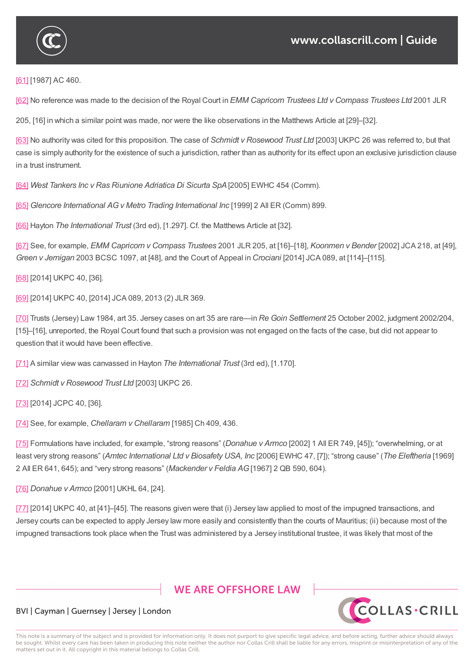

[61] [1987] AC 460.

[62] No reference was made to the decision of the Royal Court in *EMM Capricorn Trustees Ltd v Compass Trustees Ltd* 2001 JLR

[205](https://www.collascrill.com/knowledge-documents/guides/dr-trusts-on-tour-jurisdiction-clauses-in-trust-instruments/?altTemplate=pdfDocument#_ftnref61), [16] in which a similar point was made, nor were the like observations in the Matthews Article at [29]–[32].

[\[63\]](https://www.collascrill.com/knowledge-documents/guides/dr-trusts-on-tour-jurisdiction-clauses-in-trust-instruments/?altTemplate=pdfDocument#_ftnref62) No authority was cited for this proposition. The case of *Schmidt v Rosewood Trust Ltd* [2003] UKPC 26 was referred to, but that case is simply authority for the existence of such a jurisdiction, rather than as authority for its effect upon an exclusive jurisdiction clause in a trust instrument.

[\[64\]](https://www.collascrill.com/knowledge-documents/guides/dr-trusts-on-tour-jurisdiction-clauses-in-trust-instruments/?altTemplate=pdfDocument#_ftnref63) *West Tankers Inc v Ras Riunione Adriatica Di Sicurta SpA*[2005] EWHC 454 (Comm).

[65] *Glencore International AGv Metro Trading International Inc* [1999] 2 All ER (Comm) 899.

[\[66\]](https://www.collascrill.com/knowledge-documents/guides/dr-trusts-on-tour-jurisdiction-clauses-in-trust-instruments/?altTemplate=pdfDocument#_ftnref64) Hayton *The International Trust* (3rd ed), [1.297]. Cf. the Matthews Article at [32].

[\[67\]](https://www.collascrill.com/knowledge-documents/guides/dr-trusts-on-tour-jurisdiction-clauses-in-trust-instruments/?altTemplate=pdfDocument#_ftnref65) See, for example, *EMM Capricorn v Compass Trustees* 2001 JLR 205, at [16]–[18], *Koonmen v Bender* [2002] JCA 218, at [49], *[Gree](https://www.collascrill.com/knowledge-documents/guides/dr-trusts-on-tour-jurisdiction-clauses-in-trust-instruments/?altTemplate=pdfDocument#_ftnref66)n v Jernigan* 2003 BCSC 1097, at [48], and the Court of Appeal in *Crociani* [2014] JCA 089, at [114]–[115].

[\[68\]](https://www.collascrill.com/knowledge-documents/guides/dr-trusts-on-tour-jurisdiction-clauses-in-trust-instruments/?altTemplate=pdfDocument#_ftnref67) [2014] UKPC 40, [36].

[69] [2014] UKPC 40, [2014] JCA 089, 2013 (2) JLR 369.

[\[70\]](https://www.collascrill.com/knowledge-documents/guides/dr-trusts-on-tour-jurisdiction-clauses-in-trust-instruments/?altTemplate=pdfDocument#_ftnref68) Trusts (Jersey) Law 1984, art 35. Jersey cases on art 35 are rare—in *Re Goin Settlement* 25 October 2002, judgment 2002/204, [15]–[16], unreported, the Royal Court found that such a provision was not engaged on the facts of the case, but did not appear to [ques](https://www.collascrill.com/knowledge-documents/guides/dr-trusts-on-tour-jurisdiction-clauses-in-trust-instruments/?altTemplate=pdfDocument#_ftnref69)tion that it would have been effective.

[\[71\]](https://www.collascrill.com/knowledge-documents/guides/dr-trusts-on-tour-jurisdiction-clauses-in-trust-instruments/?altTemplate=pdfDocument#_ftnref70) A similar view was canvassed in Hayton *The International Trust* (3rd ed), [1.170].

[72] *Schmidt v Rosewood Trust Ltd* [2003] UKPC 26.

[\[73\]](https://www.collascrill.com/knowledge-documents/guides/dr-trusts-on-tour-jurisdiction-clauses-in-trust-instruments/?altTemplate=pdfDocument#_ftnref71) [2014] JCPC 40, [36].

[\[74\]](https://www.collascrill.com/knowledge-documents/guides/dr-trusts-on-tour-jurisdiction-clauses-in-trust-instruments/?altTemplate=pdfDocument#_ftnref72) See, for example, *Chellaram v Chellaram* [1985] Ch 409, 436.

[\[75\]](https://www.collascrill.com/knowledge-documents/guides/dr-trusts-on-tour-jurisdiction-clauses-in-trust-instruments/?altTemplate=pdfDocument#_ftnref73) Formulations have included, for example, "strong reasons" (*Donahue v Armco* [2002] 1 All ER 749, [45]); "overwhelming, or at least very strong reasons" (*Amtec International Ltd v Biosafety USA, Inc* [2006] EWHC 47, [7]); "strong cause" (*The Eleftheria* [1969] 2 [Al](https://www.collascrill.com/knowledge-documents/guides/dr-trusts-on-tour-jurisdiction-clauses-in-trust-instruments/?altTemplate=pdfDocument#_ftnref74)l ER 641, 645); and "very strong reasons" (*Mackender v Feldia AG*[1967] 2 QB 590, 604).

[\[76\]](https://www.collascrill.com/knowledge-documents/guides/dr-trusts-on-tour-jurisdiction-clauses-in-trust-instruments/?altTemplate=pdfDocument#_ftnref75) *Donahue v Armco* [2001] UKHL 64, [24].

[77] [2014] UKPC 40, at [41]–[45]. The reasons given were that (i) Jersey law applied to most of the impugned transactions, and Jersey courts can be expected to apply Jersey law more easily and consistently than the courts of Mauritius; (ii) because most of the [impu](https://www.collascrill.com/knowledge-documents/guides/dr-trusts-on-tour-jurisdiction-clauses-in-trust-instruments/?altTemplate=pdfDocument#_ftnref76)gned transactions took place when the Trust was administered by a Jersey institutional trustee, it was likely that most of the

# **WE ARE OFFSHORE LAW**



#### BVI | Cayman | Guernsey | Jersey | London